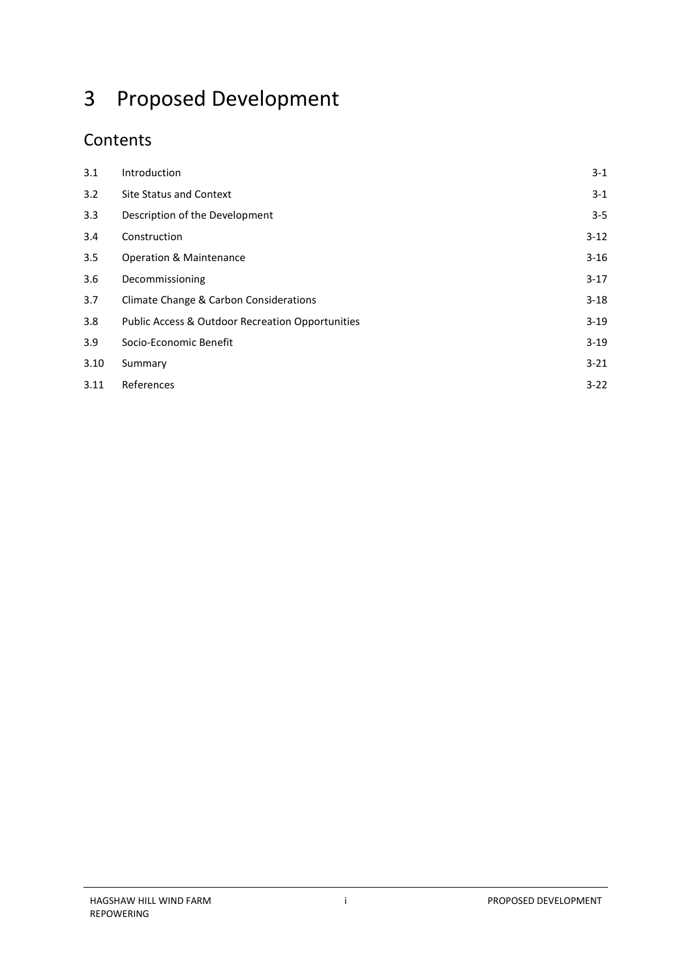# 3 Proposed Development

# **Contents**

| 3.1  | Introduction                                                | $3 - 1$  |
|------|-------------------------------------------------------------|----------|
| 3.2  | <b>Site Status and Context</b>                              | $3-1$    |
| 3.3  | Description of the Development                              | $3 - 5$  |
| 3.4  | Construction                                                | $3-12$   |
| 3.5  | <b>Operation &amp; Maintenance</b>                          | $3 - 16$ |
| 3.6  | Decommissioning                                             | $3 - 17$ |
| 3.7  | Climate Change & Carbon Considerations                      | $3 - 18$ |
| 3.8  | <b>Public Access &amp; Outdoor Recreation Opportunities</b> | $3-19$   |
| 3.9  | Socio-Economic Benefit                                      | $3-19$   |
| 3.10 | Summary                                                     | $3 - 21$ |
| 3.11 | References                                                  | $3 - 22$ |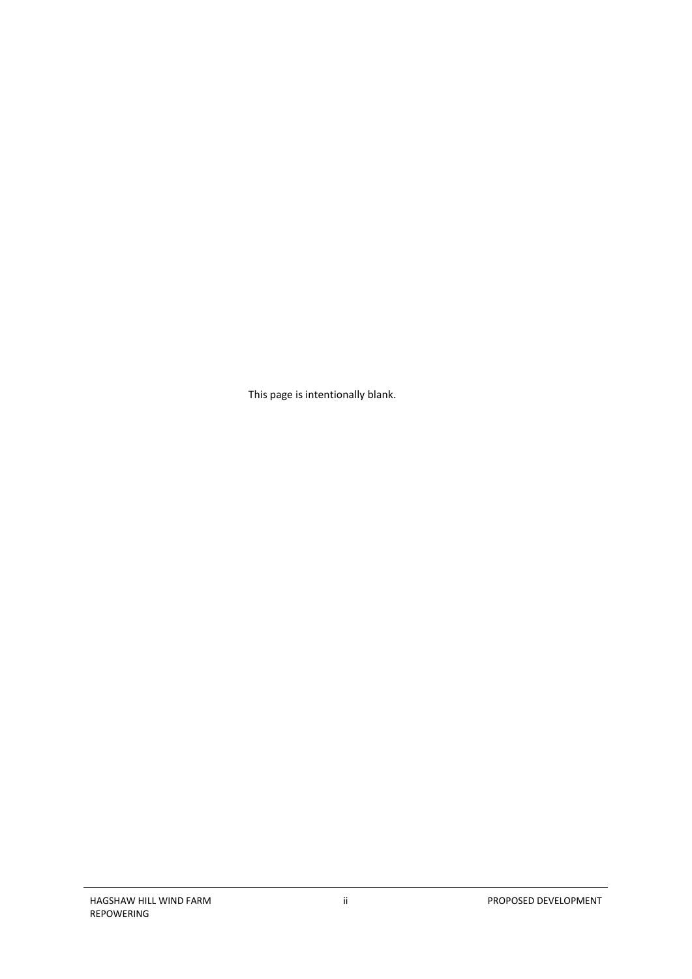This page is intentionally blank.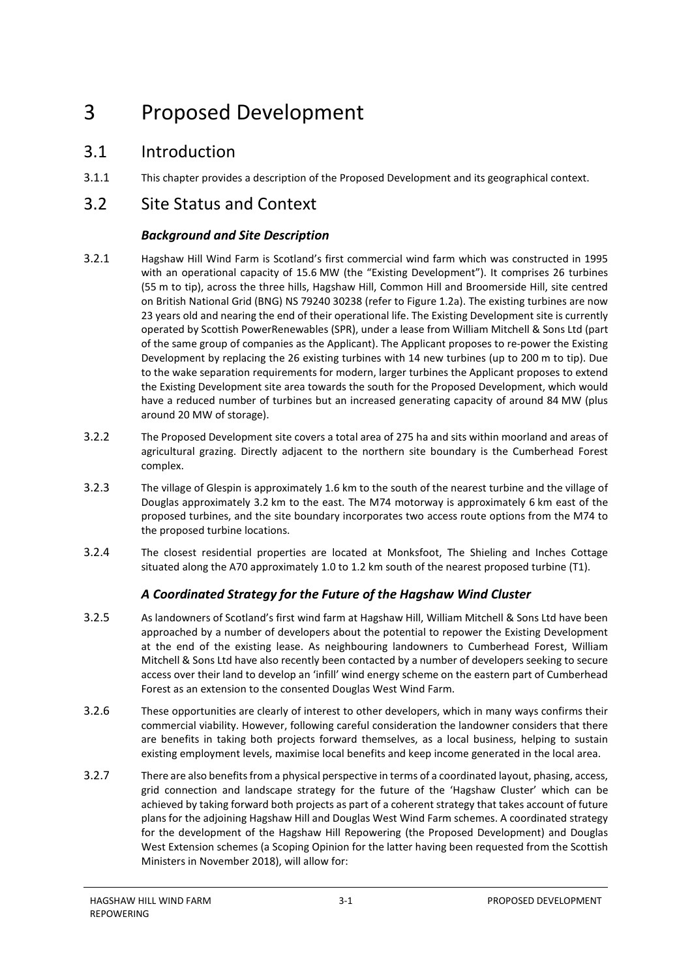# 3 Proposed Development

- <span id="page-2-0"></span>3.1 Introduction
- 3.1.1 This chapter provides a description of the Proposed Development and its geographical context.

# <span id="page-2-1"></span>3.2 Site Status and Context

#### *Background and Site Description*

- 3.2.1 Hagshaw Hill Wind Farm is Scotland's first commercial wind farm which was constructed in 1995 with an operational capacity of 15.6 MW (the "Existing Development"). It comprises 26 turbines (55 m to tip), across the three hills, Hagshaw Hill, Common Hill and Broomerside Hill, site centred on British National Grid (BNG) NS 79240 30238 (refer to Figure 1.2a). The existing turbines are now 23 years old and nearing the end of their operational life. The Existing Development site is currently operated by Scottish PowerRenewables (SPR), under a lease from William Mitchell & Sons Ltd (part of the same group of companies as the Applicant). The Applicant proposes to re-power the Existing Development by replacing the 26 existing turbines with 14 new turbines (up to 200 m to tip). Due to the wake separation requirements for modern, larger turbines the Applicant proposes to extend the Existing Development site area towards the south for the Proposed Development, which would have a reduced number of turbines but an increased generating capacity of around 84 MW (plus around 20 MW of storage).
- 3.2.2 The Proposed Development site covers a total area of 275 ha and sits within moorland and areas of agricultural grazing. Directly adjacent to the northern site boundary is the Cumberhead Forest complex.
- 3.2.3 The village of Glespin is approximately 1.6 km to the south of the nearest turbine and the village of Douglas approximately 3.2 km to the east. The M74 motorway is approximately 6 km east of the proposed turbines, and the site boundary incorporates two access route options from the M74 to the proposed turbine locations.
- 3.2.4 The closest residential properties are located at Monksfoot, The Shieling and Inches Cottage situated along the A70 approximately 1.0 to 1.2 km south of the nearest proposed turbine (T1).

#### *A Coordinated Strategy for the Future of the Hagshaw Wind Cluster*

- 3.2.5 As landowners of Scotland's first wind farm at Hagshaw Hill, William Mitchell & Sons Ltd have been approached by a number of developers about the potential to repower the Existing Development at the end of the existing lease. As neighbouring landowners to Cumberhead Forest, William Mitchell & Sons Ltd have also recently been contacted by a number of developers seeking to secure access over their land to develop an 'infill' wind energy scheme on the eastern part of Cumberhead Forest as an extension to the consented Douglas West Wind Farm.
- 3.2.6 These opportunities are clearly of interest to other developers, which in many ways confirms their commercial viability. However, following careful consideration the landowner considers that there are benefits in taking both projects forward themselves, as a local business, helping to sustain existing employment levels, maximise local benefits and keep income generated in the local area.
- 3.2.7 There are also benefits from a physical perspective in terms of a coordinated layout, phasing, access, grid connection and landscape strategy for the future of the 'Hagshaw Cluster' which can be achieved by taking forward both projects as part of a coherent strategy that takes account of future plans for the adjoining Hagshaw Hill and Douglas West Wind Farm schemes. A coordinated strategy for the development of the Hagshaw Hill Repowering (the Proposed Development) and Douglas West Extension schemes (a Scoping Opinion for the latter having been requested from the Scottish Ministers in November 2018), will allow for: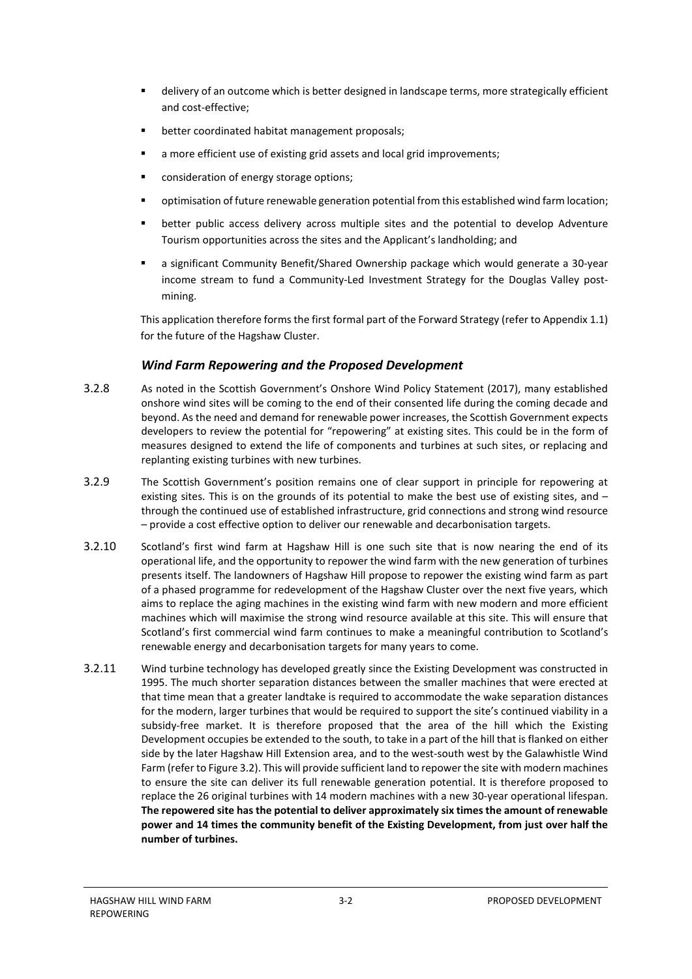- **•** delivery of an outcome which is better designed in landscape terms, more strategically efficient and cost-effective;
- better coordinated habitat management proposals;
- a more efficient use of existing grid assets and local grid improvements;
- **CONSTREGIST CONSTREGIST CONSTREGIST consideration of energy storage options;**
- optimisation of future renewable generation potential from this established wind farm location;
- better public access delivery across multiple sites and the potential to develop Adventure Tourism opportunities across the sites and the Applicant's landholding; and
- a significant Community Benefit/Shared Ownership package which would generate a 30-year income stream to fund a Community-Led Investment Strategy for the Douglas Valley postmining.

This application therefore forms the first formal part of the Forward Strategy (refer to Appendix 1.1) for the future of the Hagshaw Cluster.

#### *Wind Farm Repowering and the Proposed Development*

- 3.2.8 As noted in the Scottish Government's Onshore Wind Policy Statement (2017), many established onshore wind sites will be coming to the end of their consented life during the coming decade and beyond. As the need and demand for renewable power increases, the Scottish Government expects developers to review the potential for "repowering" at existing sites. This could be in the form of measures designed to extend the life of components and turbines at such sites, or replacing and replanting existing turbines with new turbines.
- 3.2.9 The Scottish Government's position remains one of clear support in principle for repowering at existing sites. This is on the grounds of its potential to make the best use of existing sites, and – through the continued use of established infrastructure, grid connections and strong wind resource – provide a cost effective option to deliver our renewable and decarbonisation targets.
- 3.2.10 Scotland's first wind farm at Hagshaw Hill is one such site that is now nearing the end of its operational life, and the opportunity to repower the wind farm with the new generation of turbines presents itself. The landowners of Hagshaw Hill propose to repower the existing wind farm as part of a phased programme for redevelopment of the Hagshaw Cluster over the next five years, which aims to replace the aging machines in the existing wind farm with new modern and more efficient machines which will maximise the strong wind resource available at this site. This will ensure that Scotland's first commercial wind farm continues to make a meaningful contribution to Scotland's renewable energy and decarbonisation targets for many years to come.
- 3.2.11 Wind turbine technology has developed greatly since the Existing Development was constructed in 1995. The much shorter separation distances between the smaller machines that were erected at that time mean that a greater landtake is required to accommodate the wake separation distances for the modern, larger turbines that would be required to support the site's continued viability in a subsidy-free market. It is therefore proposed that the area of the hill which the Existing Development occupies be extended to the south, to take in a part of the hill that is flanked on either side by the later Hagshaw Hill Extension area, and to the west-south west by the Galawhistle Wind Farm (refer to Figure 3.2). This will provide sufficient land to repower the site with modern machines to ensure the site can deliver its full renewable generation potential. It is therefore proposed to replace the 26 original turbines with 14 modern machines with a new 30-year operational lifespan. **The repowered site has the potential to deliver approximately six times the amount of renewable power and 14 times the community benefit of the Existing Development, from just over half the number of turbines.**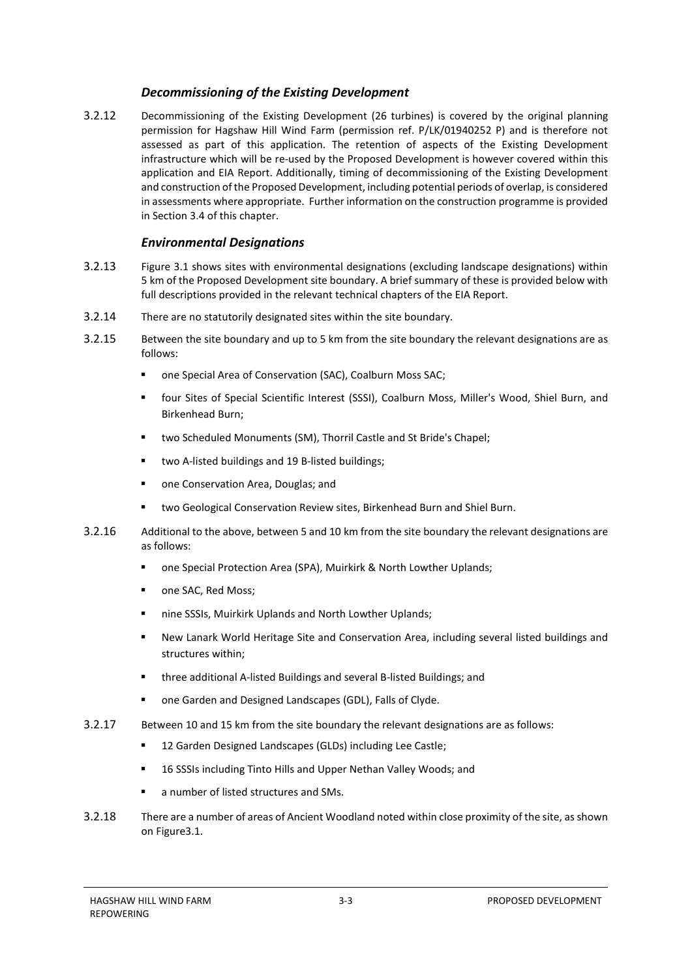#### *Decommissioning of the Existing Development*

3.2.12 Decommissioning of the Existing Development (26 turbines) is covered by the original planning permission for Hagshaw Hill Wind Farm (permission ref. P/LK/01940252 P) and is therefore not assessed as part of this application. The retention of aspects of the Existing Development infrastructure which will be re-used by the Proposed Development is however covered within this application and EIA Report. Additionally, timing of decommissioning of the Existing Development and construction of the Proposed Development, including potential periods of overlap, is considered in assessments where appropriate. Further information on the construction programme is provided in Section 3.4 of this chapter.

#### *Environmental Designations*

- 3.2.13 Figure 3.1 shows sites with environmental designations (excluding landscape designations) within 5 km of the Proposed Development site boundary. A brief summary of these is provided below with full descriptions provided in the relevant technical chapters of the EIA Report.
- 3.2.14 There are no statutorily designated sites within the site boundary.
- 3.2.15 Between the site boundary and up to 5 km from the site boundary the relevant designations are as follows:
	- one Special Area of Conservation (SAC), Coalburn Moss SAC;
	- four Sites of Special Scientific Interest (SSSI), Coalburn Moss, Miller's Wood, Shiel Burn, and Birkenhead Burn;
	- two Scheduled Monuments (SM), Thorril Castle and St Bride's Chapel;
	- two A-listed buildings and 19 B-listed buildings;
	- **•** one Conservation Area, Douglas; and
	- two Geological Conservation Review sites, Birkenhead Burn and Shiel Burn.
- 3.2.16 Additional to the above, between 5 and 10 km from the site boundary the relevant designations are as follows:
	- one Special Protection Area (SPA), Muirkirk & North Lowther Uplands:
	- **one SAC, Red Moss;**
	- nine SSSIs, Muirkirk Uplands and North Lowther Uplands;
	- New Lanark World Heritage Site and Conservation Area, including several listed buildings and structures within;
	- three additional A-listed Buildings and several B-listed Buildings; and
	- one Garden and Designed Landscapes (GDL), Falls of Clyde.
- 3.2.17 Between 10 and 15 km from the site boundary the relevant designations are as follows:
	- 12 Garden Designed Landscapes (GLDs) including Lee Castle;
	- **16 SSSIs including Tinto Hills and Upper Nethan Valley Woods; and**
	- **a** number of listed structures and SMs.
- 3.2.18 There are a number of areas of Ancient Woodland noted within close proximity of the site, as shown on Figure3.1.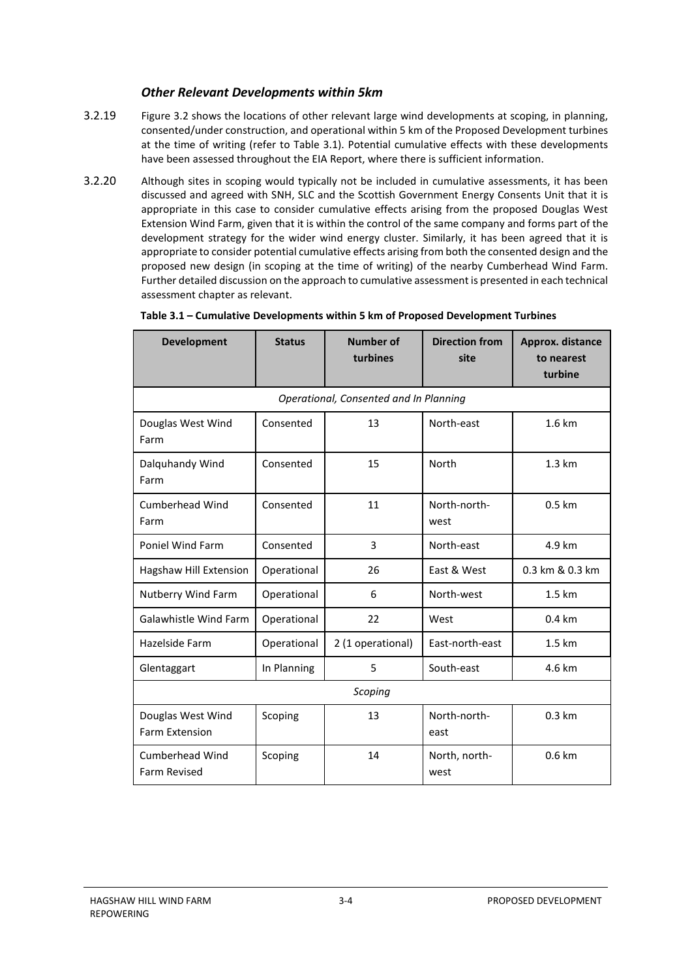#### *Other Relevant Developments within 5km*

- 3.2.19 Figure 3.2 shows the locations of other relevant large wind developments at scoping, in planning, consented/under construction, and operational within 5 km of the Proposed Development turbines at the time of writing (refer to Table 3.1). Potential cumulative effects with these developments have been assessed throughout the EIA Report, where there is sufficient information.
- 3.2.20 Although sites in scoping would typically not be included in cumulative assessments, it has been discussed and agreed with SNH, SLC and the Scottish Government Energy Consents Unit that it is appropriate in this case to consider cumulative effects arising from the proposed Douglas West Extension Wind Farm, given that it is within the control of the same company and forms part of the development strategy for the wider wind energy cluster. Similarly, it has been agreed that it is appropriate to consider potential cumulative effects arising from both the consented design and the proposed new design (in scoping at the time of writing) of the nearby Cumberhead Wind Farm. Further detailed discussion on the approach to cumulative assessment is presented in each technical assessment chapter as relevant.

| <b>Development</b>                            | <b>Status</b> | <b>Number of</b><br>turbines           | <b>Direction from</b><br>site | Approx. distance<br>to nearest<br>turbine |  |  |
|-----------------------------------------------|---------------|----------------------------------------|-------------------------------|-------------------------------------------|--|--|
|                                               |               | Operational, Consented and In Planning |                               |                                           |  |  |
|                                               |               |                                        |                               |                                           |  |  |
| Douglas West Wind<br>Farm                     | Consented     | 13                                     | North-east                    | 1.6 km                                    |  |  |
| Dalquhandy Wind<br>Farm                       | Consented     | 15                                     | North                         | $1.3 \mathrm{km}$                         |  |  |
| Cumberhead Wind<br>Farm                       | Consented     | 11                                     | North-north-<br>west          |                                           |  |  |
| Poniel Wind Farm                              | Consented     | 3                                      | North-east                    | 4.9 km                                    |  |  |
| Hagshaw Hill Extension                        | Operational   | 26                                     | East & West                   | 0.3 km & 0.3 km                           |  |  |
| Nutberry Wind Farm                            | Operational   | 6                                      | North-west                    | 1.5 km                                    |  |  |
| Galawhistle Wind Farm                         | Operational   | 22                                     | West                          | $0.4 \text{ km}$                          |  |  |
| Hazelside Farm                                | Operational   | 2 (1 operational)                      | East-north-east               | 1.5 km                                    |  |  |
| Glentaggart                                   | In Planning   | 5                                      | South-east                    | 4.6 km                                    |  |  |
| Scoping                                       |               |                                        |                               |                                           |  |  |
| Douglas West Wind<br><b>Farm Extension</b>    | Scoping       | 13                                     | North-north-<br>east          | $0.3 \text{ km}$                          |  |  |
| <b>Cumberhead Wind</b><br><b>Farm Revised</b> | Scoping       | 14                                     | North, north-<br>west         | 0.6 km                                    |  |  |

#### **Table 3.1 – Cumulative Developments within 5 km of Proposed Development Turbines**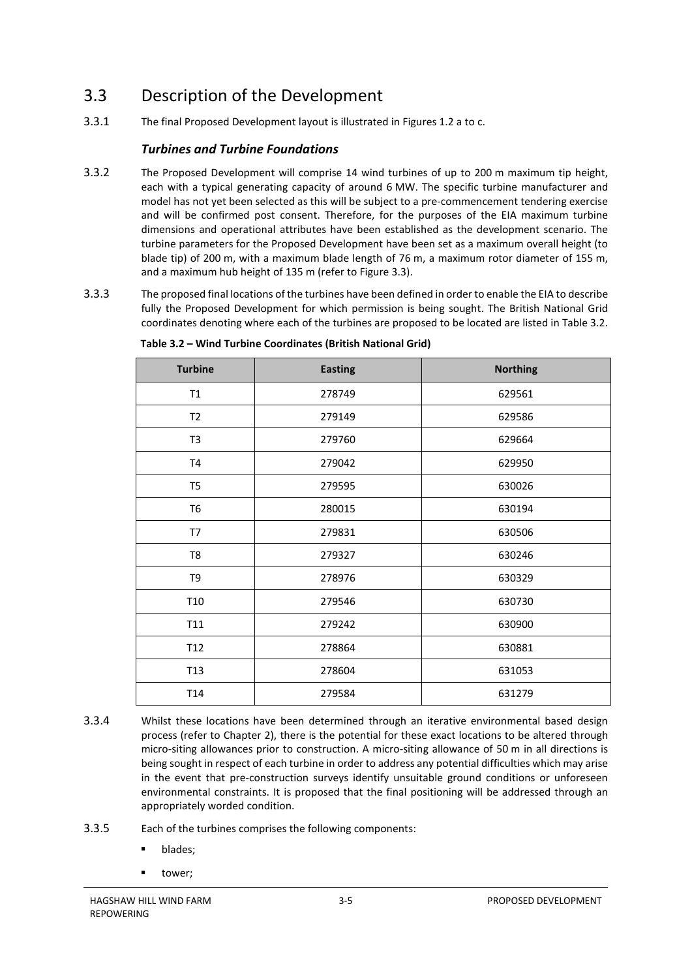# <span id="page-6-0"></span>3.3 Description of the Development

3.3.1 The final Proposed Development layout is illustrated in Figures 1.2 a to c.

#### *Turbines and Turbine Foundations*

- 3.3.2 The Proposed Development will comprise 14 wind turbines of up to 200 m maximum tip height, each with a typical generating capacity of around 6 MW. The specific turbine manufacturer and model has not yet been selected as this will be subject to a pre-commencement tendering exercise and will be confirmed post consent. Therefore, for the purposes of the EIA maximum turbine dimensions and operational attributes have been established as the development scenario. The turbine parameters for the Proposed Development have been set as a maximum overall height (to blade tip) of 200 m, with a maximum blade length of 76 m, a maximum rotor diameter of 155 m, and a maximum hub height of 135 m (refer to Figure 3.3).
- 3.3.3 The proposed final locations of the turbines have been defined in order to enable the EIA to describe fully the Proposed Development for which permission is being sought. The British National Grid coordinates denoting where each of the turbines are proposed to be located are listed in Table 3.2.

| <b>Turbine</b>  | <b>Easting</b> | <b>Northing</b> |  |  |
|-----------------|----------------|-----------------|--|--|
| T1              | 278749         | 629561          |  |  |
| T <sub>2</sub>  | 279149         | 629586          |  |  |
| T <sub>3</sub>  | 279760         | 629664          |  |  |
| T4              | 279042         | 629950          |  |  |
| T <sub>5</sub>  | 279595         | 630026          |  |  |
| T <sub>6</sub>  | 280015         | 630194          |  |  |
| T7              | 279831         | 630506          |  |  |
| T8              | 279327         | 630246          |  |  |
| T9              | 278976         | 630329          |  |  |
| T <sub>10</sub> | 279546         | 630730          |  |  |
| T11             | 279242         | 630900          |  |  |
| T <sub>12</sub> | 278864         | 630881          |  |  |
| T <sub>13</sub> | 278604         | 631053          |  |  |
| T <sub>14</sub> | 279584         | 631279          |  |  |

**Table 3.2 – Wind Turbine Coordinates (British National Grid)**

- 3.3.4 Whilst these locations have been determined through an iterative environmental based design process (refer to Chapter 2), there is the potential for these exact locations to be altered through micro-siting allowances prior to construction. A micro-siting allowance of 50 m in all directions is being sought in respect of each turbine in order to address any potential difficulties which may arise in the event that pre-construction surveys identify unsuitable ground conditions or unforeseen environmental constraints. It is proposed that the final positioning will be addressed through an appropriately worded condition.
- 3.3.5 Each of the turbines comprises the following components:
	- **blades**;
	- **u** tower: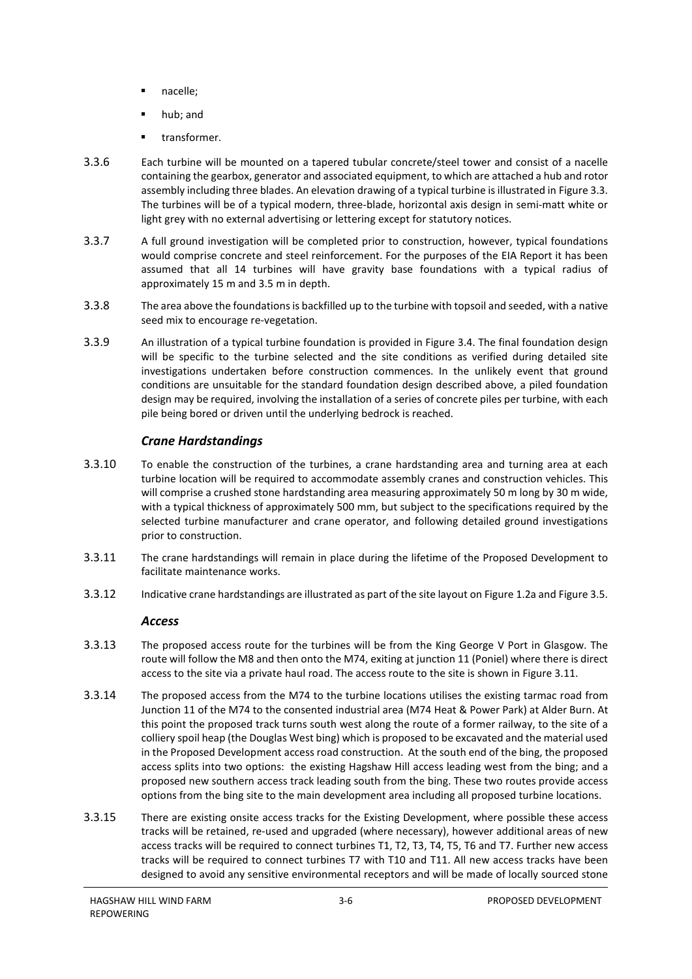- nacelle;
- hub; and
- transformer.
- 3.3.6 Each turbine will be mounted on a tapered tubular concrete/steel tower and consist of a nacelle containing the gearbox, generator and associated equipment, to which are attached a hub and rotor assembly including three blades. An elevation drawing of a typical turbine is illustrated in Figure 3.3. The turbines will be of a typical modern, three-blade, horizontal axis design in semi-matt white or light grey with no external advertising or lettering except for statutory notices.
- 3.3.7 A full ground investigation will be completed prior to construction, however, typical foundations would comprise concrete and steel reinforcement. For the purposes of the EIA Report it has been assumed that all 14 turbines will have gravity base foundations with a typical radius of approximately 15 m and 3.5 m in depth.
- 3.3.8 The area above the foundations is backfilled up to the turbine with topsoil and seeded, with a native seed mix to encourage re-vegetation.
- 3.3.9 An illustration of a typical turbine foundation is provided in Figure 3.4. The final foundation design will be specific to the turbine selected and the site conditions as verified during detailed site investigations undertaken before construction commences. In the unlikely event that ground conditions are unsuitable for the standard foundation design described above, a piled foundation design may be required, involving the installation of a series of concrete piles per turbine, with each pile being bored or driven until the underlying bedrock is reached.

#### *Crane Hardstandings*

- 3.3.10 To enable the construction of the turbines, a crane hardstanding area and turning area at each turbine location will be required to accommodate assembly cranes and construction vehicles. This will comprise a crushed stone hardstanding area measuring approximately 50 m long by 30 m wide, with a typical thickness of approximately 500 mm, but subject to the specifications required by the selected turbine manufacturer and crane operator, and following detailed ground investigations prior to construction.
- 3.3.11 The crane hardstandings will remain in place during the lifetime of the Proposed Development to facilitate maintenance works.
- 3.3.12 Indicative crane hardstandings are illustrated as part of the site layout on Figure 1.2a and Figure 3.5.

#### *Access*

- 3.3.13 The proposed access route for the turbines will be from the King George V Port in Glasgow. The route will follow the M8 and then onto the M74, exiting at junction 11 (Poniel) where there is direct access to the site via a private haul road. The access route to the site is shown in Figure 3.11.
- 3.3.14 The proposed access from the M74 to the turbine locations utilises the existing tarmac road from Junction 11 of the M74 to the consented industrial area (M74 Heat & Power Park) at Alder Burn. At this point the proposed track turns south west along the route of a former railway, to the site of a colliery spoil heap (the Douglas West bing) which is proposed to be excavated and the material used in the Proposed Development access road construction. At the south end of the bing, the proposed access splits into two options: the existing Hagshaw Hill access leading west from the bing; and a proposed new southern access track leading south from the bing. These two routes provide access options from the bing site to the main development area including all proposed turbine locations.
- 3.3.15 There are existing onsite access tracks for the Existing Development, where possible these access tracks will be retained, re-used and upgraded (where necessary), however additional areas of new access tracks will be required to connect turbines T1, T2, T3, T4, T5, T6 and T7. Further new access tracks will be required to connect turbines T7 with T10 and T11. All new access tracks have been designed to avoid any sensitive environmental receptors and will be made of locally sourced stone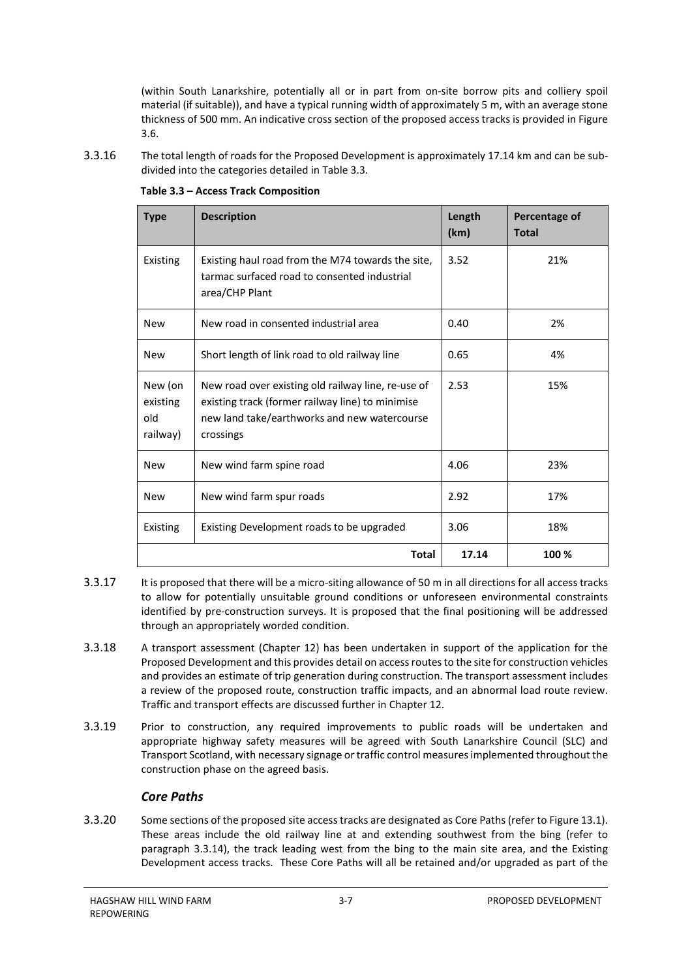(within South Lanarkshire, potentially all or in part from on-site borrow pits and colliery spoil material (if suitable)), and have a typical running width of approximately 5 m, with an average stone thickness of 500 mm. An indicative cross section of the proposed access tracks is provided in Figure 3.6.

3.3.16 The total length of roads for the Proposed Development is approximately 17.14 km and can be subdivided into the categories detailed in Table 3.3.

| <b>Type</b>                            | <b>Description</b>                                                                                                                                                  | Length<br>(km) | Percentage of<br><b>Total</b> |
|----------------------------------------|---------------------------------------------------------------------------------------------------------------------------------------------------------------------|----------------|-------------------------------|
| Existing                               | Existing haul road from the M74 towards the site,<br>tarmac surfaced road to consented industrial<br>area/CHP Plant                                                 | 3.52           | 21%                           |
| <b>New</b>                             | New road in consented industrial area                                                                                                                               | 0.40           | 2%                            |
| <b>New</b>                             | Short length of link road to old railway line                                                                                                                       | 0.65           | 4%                            |
| New (on<br>existing<br>old<br>railway) | New road over existing old railway line, re-use of<br>existing track (former railway line) to minimise<br>new land take/earthworks and new watercourse<br>crossings | 2.53           | 15%                           |
| <b>New</b>                             | New wind farm spine road                                                                                                                                            | 4.06           | 23%                           |
| <b>New</b>                             | New wind farm spur roads                                                                                                                                            | 2.92           | 17%                           |
| Existing                               | Existing Development roads to be upgraded                                                                                                                           | 3.06           | 18%                           |
|                                        | <b>Total</b>                                                                                                                                                        | 17.14          | 100 %                         |

**Table 3.3 – Access Track Composition**

- 3.3.17 It is proposed that there will be a micro-siting allowance of 50 m in all directions for all access tracks to allow for potentially unsuitable ground conditions or unforeseen environmental constraints identified by pre-construction surveys. It is proposed that the final positioning will be addressed through an appropriately worded condition.
- 3.3.18 A transport assessment (Chapter 12) has been undertaken in support of the application for the Proposed Development and this provides detail on access routes to the site for construction vehicles and provides an estimate of trip generation during construction. The transport assessment includes a review of the proposed route, construction traffic impacts, and an abnormal load route review. Traffic and transport effects are discussed further in Chapter 12.
- 3.3.19 Prior to construction, any required improvements to public roads will be undertaken and appropriate highway safety measures will be agreed with South Lanarkshire Council (SLC) and Transport Scotland, with necessary signage or traffic control measures implemented throughout the construction phase on the agreed basis.

#### *Core Paths*

3.3.20 Some sections of the proposed site access tracks are designated as Core Paths (refer to Figure 13.1). These areas include the old railway line at and extending southwest from the bing (refer to paragraph 3.3.14), the track leading west from the bing to the main site area, and the Existing Development access tracks. These Core Paths will all be retained and/or upgraded as part of the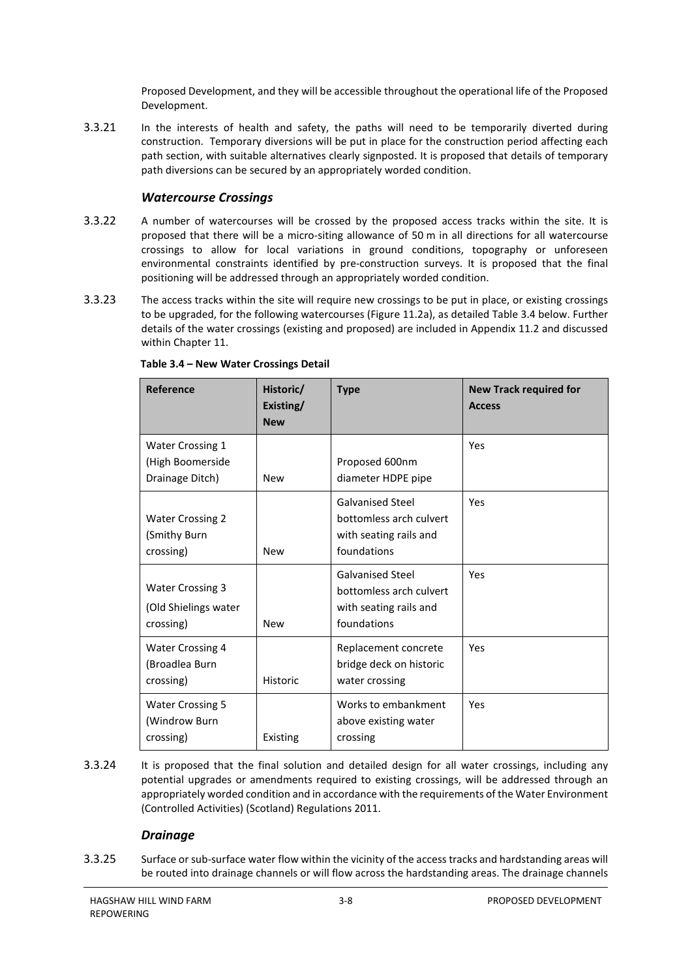Proposed Development, and they will be accessible throughout the operational life of the Proposed Development.

3.3.21 In the interests of health and safety, the paths will need to be temporarily diverted during construction. Temporary diversions will be put in place for the construction period affecting each path section, with suitable alternatives clearly signposted. It is proposed that details of temporary path diversions can be secured by an appropriately worded condition.

#### *Watercourse Crossings*

- 3.3.22 A number of watercourses will be crossed by the proposed access tracks within the site. It is proposed that there will be a micro-siting allowance of 50 m in all directions for all watercourse crossings to allow for local variations in ground conditions, topography or unforeseen environmental constraints identified by pre-construction surveys. It is proposed that the final positioning will be addressed through an appropriately worded condition.
- 3.3.23 The access tracks within the site will require new crossings to be put in place, or existing crossings to be upgraded, for the following watercourses (Figure 11.2a), as detailed Table 3.4 below. Further details of the water crossings (existing and proposed) are included in Appendix 11.2 and discussed within Chapter 11.

| Reference                                                      | Historic/<br>Existing/<br><b>New</b> | <b>Type</b>                                                                                 | <b>New Track required for</b><br><b>Access</b> |
|----------------------------------------------------------------|--------------------------------------|---------------------------------------------------------------------------------------------|------------------------------------------------|
| <b>Water Crossing 1</b><br>(High Boomerside<br>Drainage Ditch) | <b>New</b>                           | Proposed 600nm<br>diameter HDPE pipe                                                        | Yes                                            |
| <b>Water Crossing 2</b><br>(Smithy Burn<br>crossing)           | <b>New</b>                           | <b>Galvanised Steel</b><br>bottomless arch culvert<br>with seating rails and<br>foundations | Yes                                            |
| <b>Water Crossing 3</b><br>(Old Shielings water<br>crossing)   | <b>New</b>                           | <b>Galvanised Steel</b><br>bottomless arch culvert<br>with seating rails and<br>foundations | Yes                                            |
| <b>Water Crossing 4</b><br>(Broadlea Burn<br>crossing)         | Historic                             | Replacement concrete<br>bridge deck on historic<br>water crossing                           | Yes                                            |
| <b>Water Crossing 5</b><br>(Windrow Burn<br>crossing)          | <b>Existing</b>                      | Works to embankment<br>above existing water<br>crossing                                     | Yes                                            |

#### **Table 3.4 – New Water Crossings Detail**

3.3.24 It is proposed that the final solution and detailed design for all water crossings, including any potential upgrades or amendments required to existing crossings, will be addressed through an appropriately worded condition and in accordance with the requirements of the Water Environment (Controlled Activities) (Scotland) Regulations 2011.

#### *Drainage*

3.3.25 Surface or sub-surface water flow within the vicinity of the access tracks and hardstanding areas will be routed into drainage channels or will flow across the hardstanding areas. The drainage channels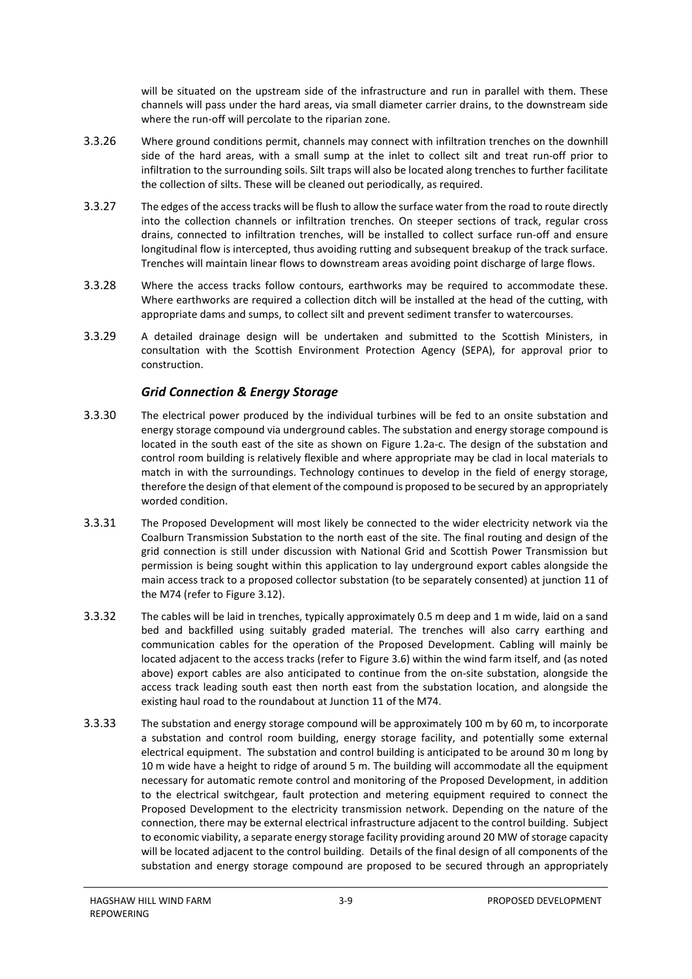will be situated on the upstream side of the infrastructure and run in parallel with them. These channels will pass under the hard areas, via small diameter carrier drains, to the downstream side where the run-off will percolate to the riparian zone.

- 3.3.26 Where ground conditions permit, channels may connect with infiltration trenches on the downhill side of the hard areas, with a small sump at the inlet to collect silt and treat run-off prior to infiltration to the surrounding soils. Silt traps will also be located along trenches to further facilitate the collection of silts. These will be cleaned out periodically, as required.
- 3.3.27 The edges of the access tracks will be flush to allow the surface water from the road to route directly into the collection channels or infiltration trenches. On steeper sections of track, regular cross drains, connected to infiltration trenches, will be installed to collect surface run-off and ensure longitudinal flow is intercepted, thus avoiding rutting and subsequent breakup of the track surface. Trenches will maintain linear flows to downstream areas avoiding point discharge of large flows.
- 3.3.28 Where the access tracks follow contours, earthworks may be required to accommodate these. Where earthworks are required a collection ditch will be installed at the head of the cutting, with appropriate dams and sumps, to collect silt and prevent sediment transfer to watercourses.
- 3.3.29 A detailed drainage design will be undertaken and submitted to the Scottish Ministers, in consultation with the Scottish Environment Protection Agency (SEPA), for approval prior to construction.

#### *Grid Connection & Energy Storage*

- 3.3.30 The electrical power produced by the individual turbines will be fed to an onsite substation and energy storage compound via underground cables. The substation and energy storage compound is located in the south east of the site as shown on Figure 1.2a-c. The design of the substation and control room building is relatively flexible and where appropriate may be clad in local materials to match in with the surroundings. Technology continues to develop in the field of energy storage, therefore the design of that element of the compound is proposed to be secured by an appropriately worded condition.
- 3.3.31 The Proposed Development will most likely be connected to the wider electricity network via the Coalburn Transmission Substation to the north east of the site. The final routing and design of the grid connection is still under discussion with National Grid and Scottish Power Transmission but permission is being sought within this application to lay underground export cables alongside the main access track to a proposed collector substation (to be separately consented) at junction 11 of the M74 (refer to Figure 3.12).
- 3.3.32 The cables will be laid in trenches, typically approximately 0.5 m deep and 1 m wide, laid on a sand bed and backfilled using suitably graded material. The trenches will also carry earthing and communication cables for the operation of the Proposed Development. Cabling will mainly be located adjacent to the access tracks (refer to Figure 3.6) within the wind farm itself, and (as noted above) export cables are also anticipated to continue from the on-site substation, alongside the access track leading south east then north east from the substation location, and alongside the existing haul road to the roundabout at Junction 11 of the M74.
- 3.3.33 The substation and energy storage compound will be approximately 100 m by 60 m, to incorporate a substation and control room building, energy storage facility, and potentially some external electrical equipment. The substation and control building is anticipated to be around 30 m long by 10 m wide have a height to ridge of around 5 m. The building will accommodate all the equipment necessary for automatic remote control and monitoring of the Proposed Development, in addition to the electrical switchgear, fault protection and metering equipment required to connect the Proposed Development to the electricity transmission network. Depending on the nature of the connection, there may be external electrical infrastructure adjacent to the control building. Subject to economic viability, a separate energy storage facility providing around 20 MW of storage capacity will be located adjacent to the control building. Details of the final design of all components of the substation and energy storage compound are proposed to be secured through an appropriately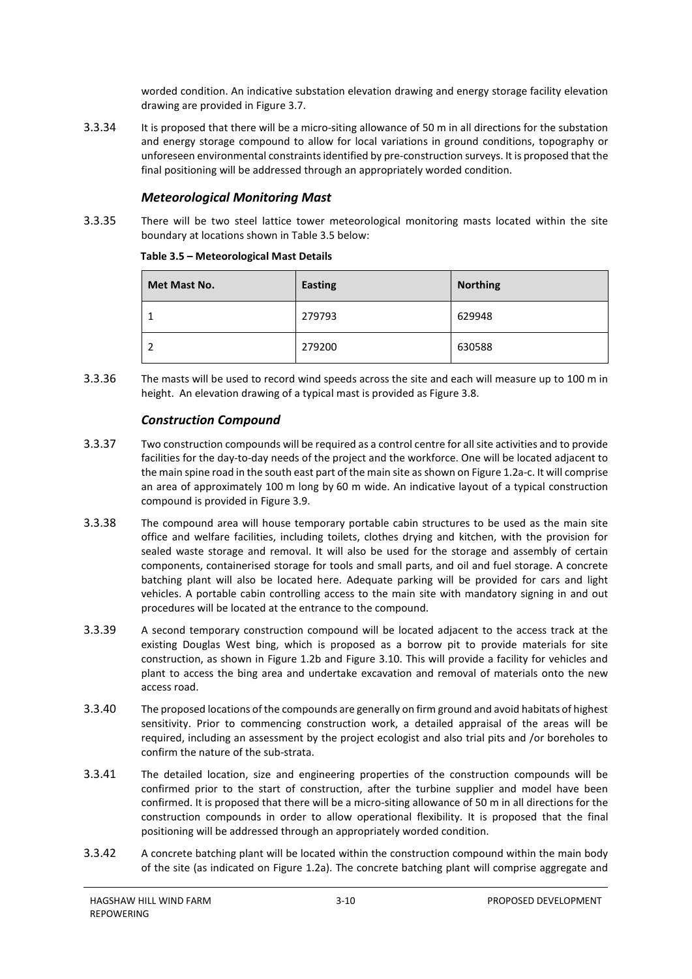worded condition. An indicative substation elevation drawing and energy storage facility elevation drawing are provided in Figure 3.7.

3.3.34 It is proposed that there will be a micro-siting allowance of 50 m in all directions for the substation and energy storage compound to allow for local variations in ground conditions, topography or unforeseen environmental constraints identified by pre-construction surveys. It is proposed that the final positioning will be addressed through an appropriately worded condition.

#### *Meteorological Monitoring Mast*

3.3.35 There will be two steel lattice tower meteorological monitoring masts located within the site boundary at locations shown in Table 3.5 below:

| Table 3.5 - Meteorological Mast Details |  |
|-----------------------------------------|--|
|-----------------------------------------|--|

| Met Mast No. | <b>Easting</b> | <b>Northing</b> |  |  |  |
|--------------|----------------|-----------------|--|--|--|
|              | 279793         | 629948          |  |  |  |
|              | 279200         | 630588          |  |  |  |

3.3.36 The masts will be used to record wind speeds across the site and each will measure up to 100 m in height. An elevation drawing of a typical mast is provided as Figure 3.8.

#### *Construction Compound*

- 3.3.37 Two construction compounds will be required as a control centre for all site activities and to provide facilities for the day-to-day needs of the project and the workforce. One will be located adjacent to the main spine road in the south east part of the main site as shown on Figure 1.2a-c. It will comprise an area of approximately 100 m long by 60 m wide. An indicative layout of a typical construction compound is provided in Figure 3.9.
- 3.3.38 The compound area will house temporary portable cabin structures to be used as the main site office and welfare facilities, including toilets, clothes drying and kitchen, with the provision for sealed waste storage and removal. It will also be used for the storage and assembly of certain components, containerised storage for tools and small parts, and oil and fuel storage. A concrete batching plant will also be located here. Adequate parking will be provided for cars and light vehicles. A portable cabin controlling access to the main site with mandatory signing in and out procedures will be located at the entrance to the compound.
- 3.3.39 A second temporary construction compound will be located adjacent to the access track at the existing Douglas West bing, which is proposed as a borrow pit to provide materials for site construction, as shown in Figure 1.2b and Figure 3.10. This will provide a facility for vehicles and plant to access the bing area and undertake excavation and removal of materials onto the new access road.
- 3.3.40 The proposed locations of the compounds are generally on firm ground and avoid habitats of highest sensitivity. Prior to commencing construction work, a detailed appraisal of the areas will be required, including an assessment by the project ecologist and also trial pits and /or boreholes to confirm the nature of the sub-strata.
- 3.3.41 The detailed location, size and engineering properties of the construction compounds will be confirmed prior to the start of construction, after the turbine supplier and model have been confirmed. It is proposed that there will be a micro-siting allowance of 50 m in all directions for the construction compounds in order to allow operational flexibility. It is proposed that the final positioning will be addressed through an appropriately worded condition.
- 3.3.42 A concrete batching plant will be located within the construction compound within the main body of the site (as indicated on Figure 1.2a). The concrete batching plant will comprise aggregate and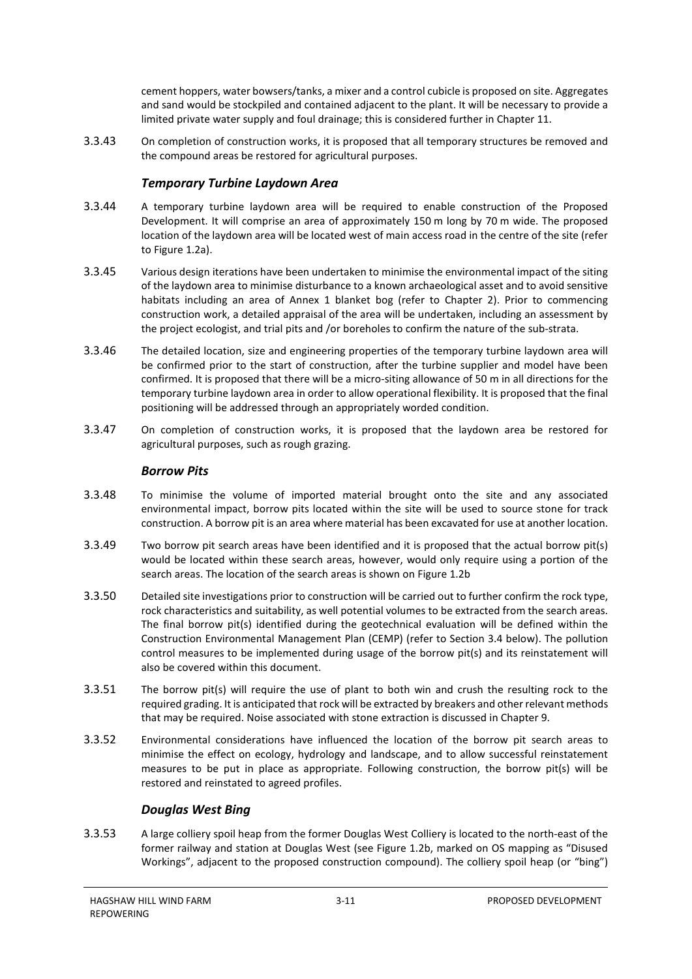cement hoppers, water bowsers/tanks, a mixer and a control cubicle is proposed on site. Aggregates and sand would be stockpiled and contained adjacent to the plant. It will be necessary to provide a limited private water supply and foul drainage; this is considered further in Chapter 11.

3.3.43 On completion of construction works, it is proposed that all temporary structures be removed and the compound areas be restored for agricultural purposes.

#### *Temporary Turbine Laydown Area*

- 3.3.44 A temporary turbine laydown area will be required to enable construction of the Proposed Development. It will comprise an area of approximately 150 m long by 70 m wide. The proposed location of the laydown area will be located west of main access road in the centre of the site (refer to Figure 1.2a).
- 3.3.45 Various design iterations have been undertaken to minimise the environmental impact of the siting of the laydown area to minimise disturbance to a known archaeological asset and to avoid sensitive habitats including an area of Annex 1 blanket bog (refer to Chapter 2). Prior to commencing construction work, a detailed appraisal of the area will be undertaken, including an assessment by the project ecologist, and trial pits and /or boreholes to confirm the nature of the sub-strata.
- 3.3.46 The detailed location, size and engineering properties of the temporary turbine laydown area will be confirmed prior to the start of construction, after the turbine supplier and model have been confirmed. It is proposed that there will be a micro-siting allowance of 50 m in all directions for the temporary turbine laydown area in order to allow operational flexibility. It is proposed that the final positioning will be addressed through an appropriately worded condition.
- 3.3.47 On completion of construction works, it is proposed that the laydown area be restored for agricultural purposes, such as rough grazing.

#### *Borrow Pits*

- 3.3.48 To minimise the volume of imported material brought onto the site and any associated environmental impact, borrow pits located within the site will be used to source stone for track construction. A borrow pit is an area where material has been excavated for use at another location.
- 3.3.49 Two borrow pit search areas have been identified and it is proposed that the actual borrow pit(s) would be located within these search areas, however, would only require using a portion of the search areas. The location of the search areas is shown on Figure 1.2b
- 3.3.50 Detailed site investigations prior to construction will be carried out to further confirm the rock type, rock characteristics and suitability, as well potential volumes to be extracted from the search areas. The final borrow pit(s) identified during the geotechnical evaluation will be defined within the Construction Environmental Management Plan (CEMP) (refer to Section 3.4 below). The pollution control measures to be implemented during usage of the borrow pit(s) and its reinstatement will also be covered within this document.
- 3.3.51 The borrow pit(s) will require the use of plant to both win and crush the resulting rock to the required grading. It is anticipated that rock will be extracted by breakers and other relevant methods that may be required. Noise associated with stone extraction is discussed in Chapter 9.
- 3.3.52 Environmental considerations have influenced the location of the borrow pit search areas to minimise the effect on ecology, hydrology and landscape, and to allow successful reinstatement measures to be put in place as appropriate. Following construction, the borrow pit(s) will be restored and reinstated to agreed profiles.

#### *Douglas West Bing*

3.3.53 A large colliery spoil heap from the former Douglas West Colliery is located to the north-east of the former railway and station at Douglas West (see Figure 1.2b, marked on OS mapping as "Disused Workings", adjacent to the proposed construction compound). The colliery spoil heap (or "bing")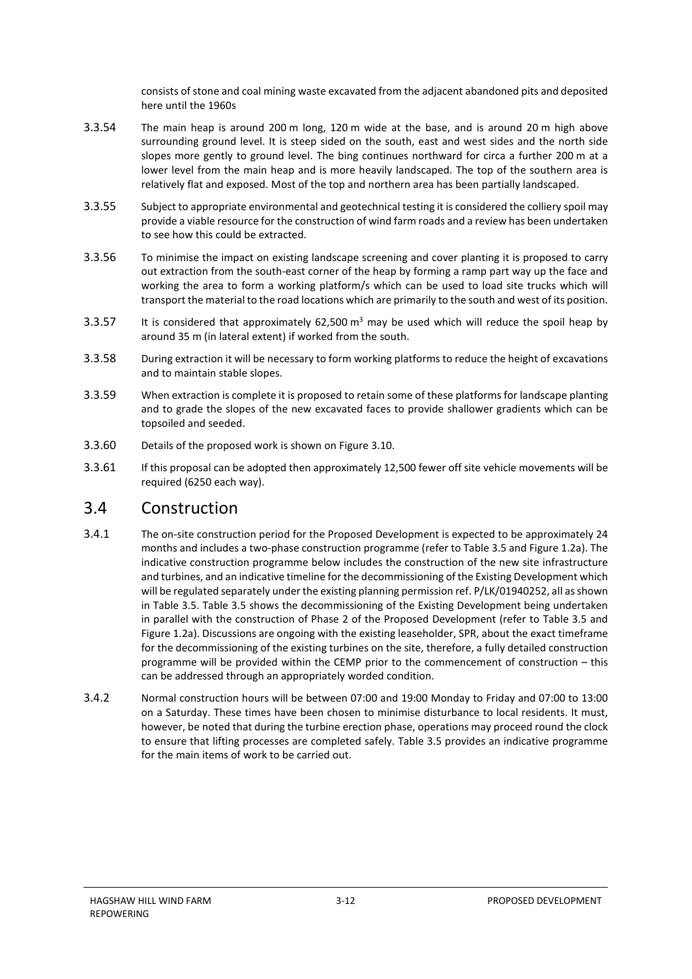consists of stone and coal mining waste excavated from the adjacent abandoned pits and deposited here until the 1960s

- 3.3.54 The main heap is around 200 m long, 120 m wide at the base, and is around 20 m high above surrounding ground level. It is steep sided on the south, east and west sides and the north side slopes more gently to ground level. The bing continues northward for circa a further 200 m at a lower level from the main heap and is more heavily landscaped. The top of the southern area is relatively flat and exposed. Most of the top and northern area has been partially landscaped.
- 3.3.55 Subject to appropriate environmental and geotechnical testing it is considered the colliery spoil may provide a viable resource for the construction of wind farm roads and a review has been undertaken to see how this could be extracted.
- 3.3.56 To minimise the impact on existing landscape screening and cover planting it is proposed to carry out extraction from the south-east corner of the heap by forming a ramp part way up the face and working the area to form a working platform/s which can be used to load site trucks which will transport the material to the road locations which are primarily to the south and west of its position.
- 3.3.57 It is considered that approximately 62,500  $m<sup>3</sup>$  may be used which will reduce the spoil heap by around 35 m (in lateral extent) if worked from the south.
- 3.3.58 During extraction it will be necessary to form working platforms to reduce the height of excavations and to maintain stable slopes.
- 3.3.59 When extraction is complete it is proposed to retain some of these platforms for landscape planting and to grade the slopes of the new excavated faces to provide shallower gradients which can be topsoiled and seeded.
- 3.3.60 Details of the proposed work is shown on Figure 3.10.
- 3.3.61 If this proposal can be adopted then approximately 12,500 fewer off site vehicle movements will be required (6250 each way).

#### <span id="page-13-0"></span>3.4 Construction

- 3.4.1 The on-site construction period for the Proposed Development is expected to be approximately 24 months and includes a two-phase construction programme (refer to Table 3.5 and Figure 1.2a). The indicative construction programme below includes the construction of the new site infrastructure and turbines, and an indicative timeline for the decommissioning of the Existing Development which will be regulated separately under the existing planning permission ref. P/LK/01940252, all as shown in Table 3.5. Table 3.5 shows the decommissioning of the Existing Development being undertaken in parallel with the construction of Phase 2 of the Proposed Development (refer to Table 3.5 and Figure 1.2a). Discussions are ongoing with the existing leaseholder, SPR, about the exact timeframe for the decommissioning of the existing turbines on the site, therefore, a fully detailed construction programme will be provided within the CEMP prior to the commencement of construction – this can be addressed through an appropriately worded condition.
- 3.4.2 Normal construction hours will be between 07:00 and 19:00 Monday to Friday and 07:00 to 13:00 on a Saturday. These times have been chosen to minimise disturbance to local residents. It must, however, be noted that during the turbine erection phase, operations may proceed round the clock to ensure that lifting processes are completed safely. Table 3.5 provides an indicative programme for the main items of work to be carried out.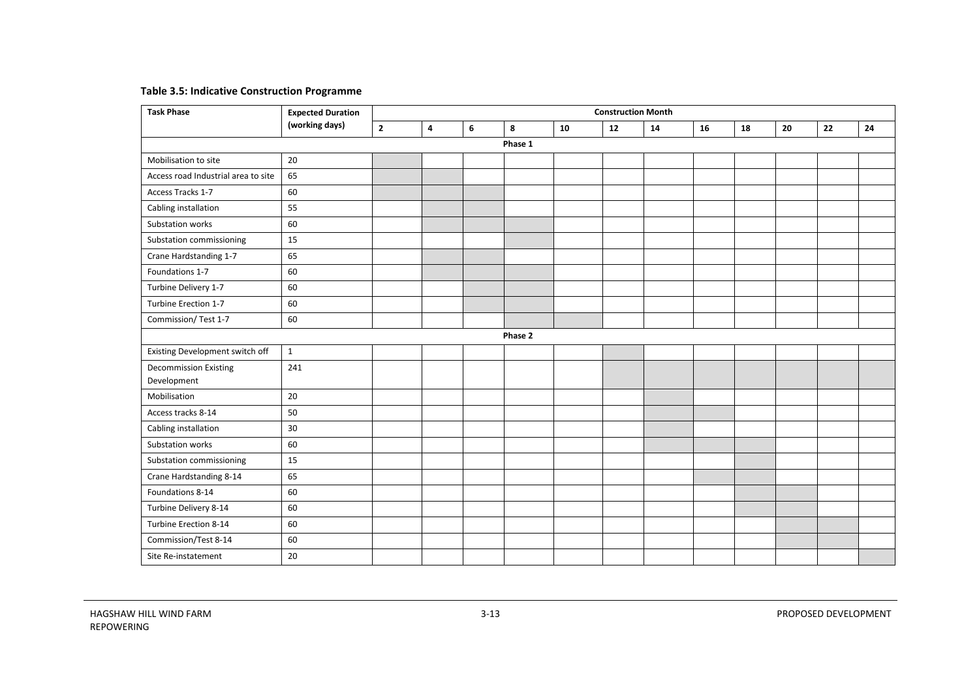#### **Table 3.5: Indicative Construction Programme**

| <b>Task Phase</b>                   | <b>Expected Duration</b> | <b>Construction Month</b> |   |   |         |    |    |    |    |    |    |    |    |
|-------------------------------------|--------------------------|---------------------------|---|---|---------|----|----|----|----|----|----|----|----|
|                                     | (working days)           | $\overline{2}$            | 4 | 6 | 8       | 10 | 12 | 14 | 16 | 18 | 20 | 22 | 24 |
| Phase 1                             |                          |                           |   |   |         |    |    |    |    |    |    |    |    |
| Mobilisation to site                | 20                       |                           |   |   |         |    |    |    |    |    |    |    |    |
| Access road Industrial area to site | 65                       |                           |   |   |         |    |    |    |    |    |    |    |    |
| Access Tracks 1-7                   | 60                       |                           |   |   |         |    |    |    |    |    |    |    |    |
| Cabling installation                | 55                       |                           |   |   |         |    |    |    |    |    |    |    |    |
| Substation works                    | 60                       |                           |   |   |         |    |    |    |    |    |    |    |    |
| Substation commissioning            | 15                       |                           |   |   |         |    |    |    |    |    |    |    |    |
| Crane Hardstanding 1-7              | 65                       |                           |   |   |         |    |    |    |    |    |    |    |    |
| Foundations 1-7                     | 60                       |                           |   |   |         |    |    |    |    |    |    |    |    |
| Turbine Delivery 1-7                | 60                       |                           |   |   |         |    |    |    |    |    |    |    |    |
| Turbine Erection 1-7                | 60                       |                           |   |   |         |    |    |    |    |    |    |    |    |
| Commission/Test 1-7                 | 60                       |                           |   |   |         |    |    |    |    |    |    |    |    |
|                                     |                          |                           |   |   | Phase 2 |    |    |    |    |    |    |    |    |
| Existing Development switch off     | $\mathbf{1}$             |                           |   |   |         |    |    |    |    |    |    |    |    |
| <b>Decommission Existing</b>        | 241                      |                           |   |   |         |    |    |    |    |    |    |    |    |
| Development                         |                          |                           |   |   |         |    |    |    |    |    |    |    |    |
| Mobilisation                        | 20                       |                           |   |   |         |    |    |    |    |    |    |    |    |
| Access tracks 8-14                  | 50                       |                           |   |   |         |    |    |    |    |    |    |    |    |
| Cabling installation                | 30                       |                           |   |   |         |    |    |    |    |    |    |    |    |
| Substation works                    | 60                       |                           |   |   |         |    |    |    |    |    |    |    |    |
| Substation commissioning            | 15                       |                           |   |   |         |    |    |    |    |    |    |    |    |
| Crane Hardstanding 8-14             | 65                       |                           |   |   |         |    |    |    |    |    |    |    |    |
| Foundations 8-14                    | 60                       |                           |   |   |         |    |    |    |    |    |    |    |    |
| Turbine Delivery 8-14               | 60                       |                           |   |   |         |    |    |    |    |    |    |    |    |
| Turbine Erection 8-14               | 60                       |                           |   |   |         |    |    |    |    |    |    |    |    |
| Commission/Test 8-14                | 60                       |                           |   |   |         |    |    |    |    |    |    |    |    |
| Site Re-instatement                 | 20                       |                           |   |   |         |    |    |    |    |    |    |    |    |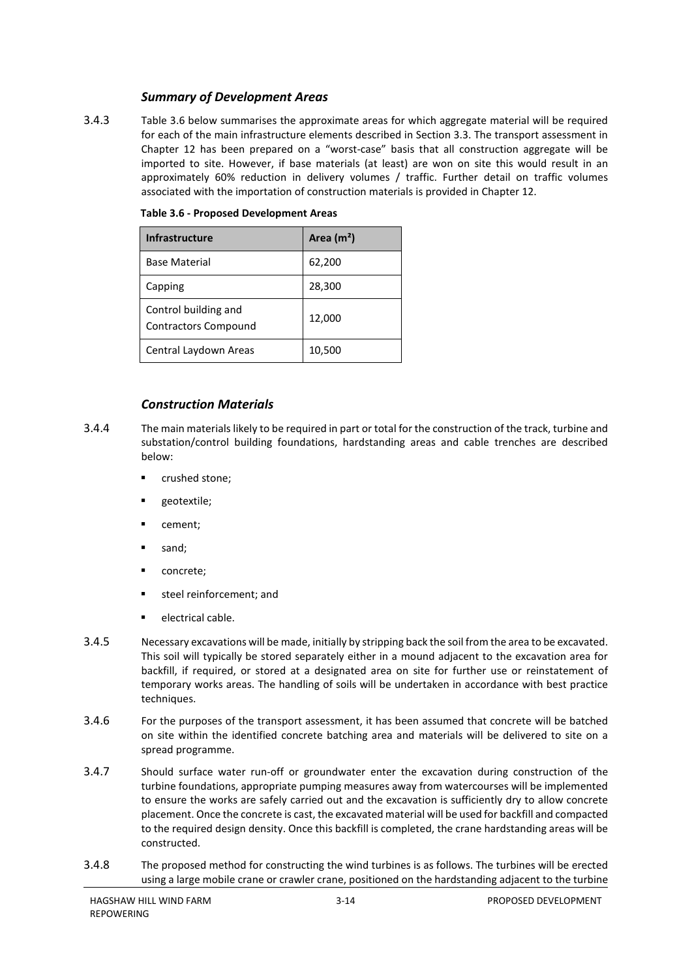#### *Summary of Development Areas*

3.4.3 Table 3.6 below summarises the approximate areas for which aggregate material will be required for each of the main infrastructure elements described in Section 3.3. The transport assessment in Chapter 12 has been prepared on a "worst-case" basis that all construction aggregate will be imported to site. However, if base materials (at least) are won on site this would result in an approximately 60% reduction in delivery volumes / traffic. Further detail on traffic volumes associated with the importation of construction materials is provided in Chapter 12.

| <b>Infrastructure</b>                               | Area $(m2)$ |
|-----------------------------------------------------|-------------|
| <b>Base Material</b>                                | 62,200      |
| Capping                                             | 28,300      |
| Control building and<br><b>Contractors Compound</b> | 12,000      |
| Central Laydown Areas                               | 10,500      |

**Table 3.6 - Proposed Development Areas**

#### *Construction Materials*

- 3.4.4 The main materials likely to be required in part or total for the construction of the track, turbine and substation/control building foundations, hardstanding areas and cable trenches are described below:
	- **•** crushed stone;
	- **geotextile;**
	- **•** cement;
	- sand;
	- **•** concrete:
	- steel reinforcement; and
	- electrical cable.
- 3.4.5 Necessary excavations will be made, initially by stripping back the soil from the area to be excavated. This soil will typically be stored separately either in a mound adjacent to the excavation area for backfill, if required, or stored at a designated area on site for further use or reinstatement of temporary works areas. The handling of soils will be undertaken in accordance with best practice techniques.
- 3.4.6 For the purposes of the transport assessment, it has been assumed that concrete will be batched on site within the identified concrete batching area and materials will be delivered to site on a spread programme.
- 3.4.7 Should surface water run-off or groundwater enter the excavation during construction of the turbine foundations, appropriate pumping measures away from watercourses will be implemented to ensure the works are safely carried out and the excavation is sufficiently dry to allow concrete placement. Once the concrete is cast, the excavated material will be used for backfill and compacted to the required design density. Once this backfill is completed, the crane hardstanding areas will be constructed.
- 3.4.8 The proposed method for constructing the wind turbines is as follows. The turbines will be erected using a large mobile crane or crawler crane, positioned on the hardstanding adjacent to the turbine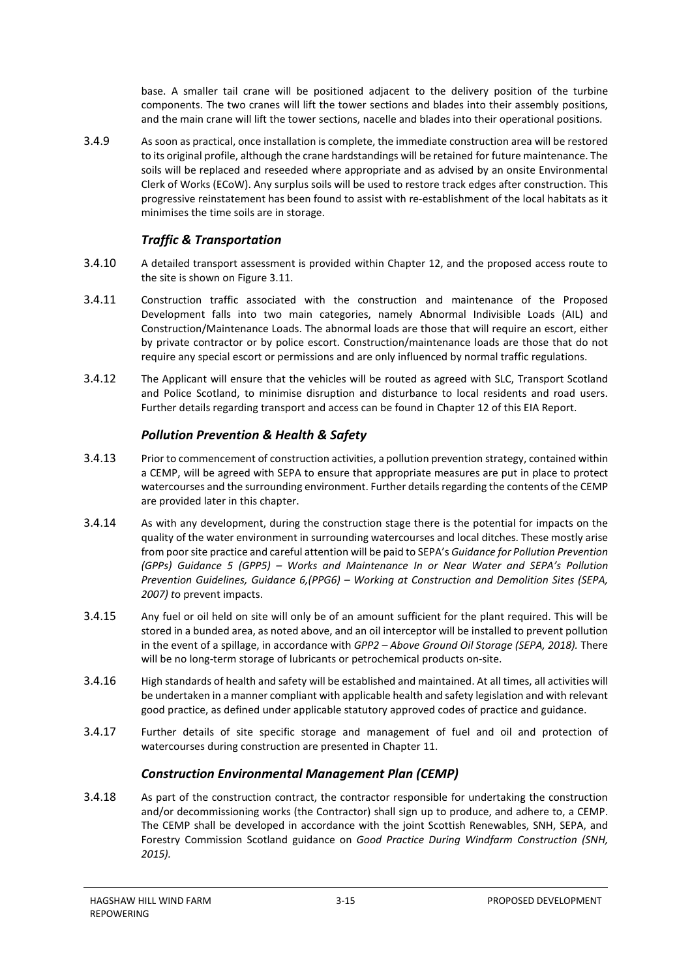base. A smaller tail crane will be positioned adjacent to the delivery position of the turbine components. The two cranes will lift the tower sections and blades into their assembly positions, and the main crane will lift the tower sections, nacelle and blades into their operational positions.

3.4.9 As soon as practical, once installation is complete, the immediate construction area will be restored to its original profile, although the crane hardstandings will be retained for future maintenance. The soils will be replaced and reseeded where appropriate and as advised by an onsite Environmental Clerk of Works (ECoW). Any surplus soils will be used to restore track edges after construction. This progressive reinstatement has been found to assist with re-establishment of the local habitats as it minimises the time soils are in storage.

#### *Traffic & Transportation*

- 3.4.10 A detailed transport assessment is provided within Chapter 12, and the proposed access route to the site is shown on Figure 3.11.
- 3.4.11 Construction traffic associated with the construction and maintenance of the Proposed Development falls into two main categories, namely Abnormal Indivisible Loads (AIL) and Construction/Maintenance Loads. The abnormal loads are those that will require an escort, either by private contractor or by police escort. Construction/maintenance loads are those that do not require any special escort or permissions and are only influenced by normal traffic regulations.
- 3.4.12 The Applicant will ensure that the vehicles will be routed as agreed with SLC, Transport Scotland and Police Scotland, to minimise disruption and disturbance to local residents and road users. Further details regarding transport and access can be found in Chapter 12 of this EIA Report.

#### *Pollution Prevention & Health & Safety*

- 3.4.13 Prior to commencement of construction activities, a pollution prevention strategy, contained within a CEMP, will be agreed with SEPA to ensure that appropriate measures are put in place to protect watercourses and the surrounding environment. Further details regarding the contents of the CEMP are provided later in this chapter.
- 3.4.14 As with any development, during the construction stage there is the potential for impacts on the quality of the water environment in surrounding watercourses and local ditches. These mostly arise from poor site practice and careful attention will be paid to SEPA's *Guidance for Pollution Prevention (GPPs) Guidance 5 (GPP5) – Works and Maintenance In or Near Water and SEPA's Pollution Prevention Guidelines, Guidance 6,(PPG6) – Working at Construction and Demolition Sites (SEPA, 2007) t*o prevent impacts.
- 3.4.15 Any fuel or oil held on site will only be of an amount sufficient for the plant required. This will be stored in a bunded area, as noted above, and an oil interceptor will be installed to prevent pollution in the event of a spillage, in accordance with *GPP2 – Above Ground Oil Storage (SEPA, 2018).* There will be no long-term storage of lubricants or petrochemical products on-site.
- 3.4.16 High standards of health and safety will be established and maintained. At all times, all activities will be undertaken in a manner compliant with applicable health and safety legislation and with relevant good practice, as defined under applicable statutory approved codes of practice and guidance.
- 3.4.17 Further details of site specific storage and management of fuel and oil and protection of watercourses during construction are presented in Chapter 11.

#### *Construction Environmental Management Plan (CEMP)*

3.4.18 As part of the construction contract, the contractor responsible for undertaking the construction and/or decommissioning works (the Contractor) shall sign up to produce, and adhere to, a CEMP. The CEMP shall be developed in accordance with the joint Scottish Renewables, SNH, SEPA, and Forestry Commission Scotland guidance on *Good Practice During Windfarm Construction (SNH, 2015).*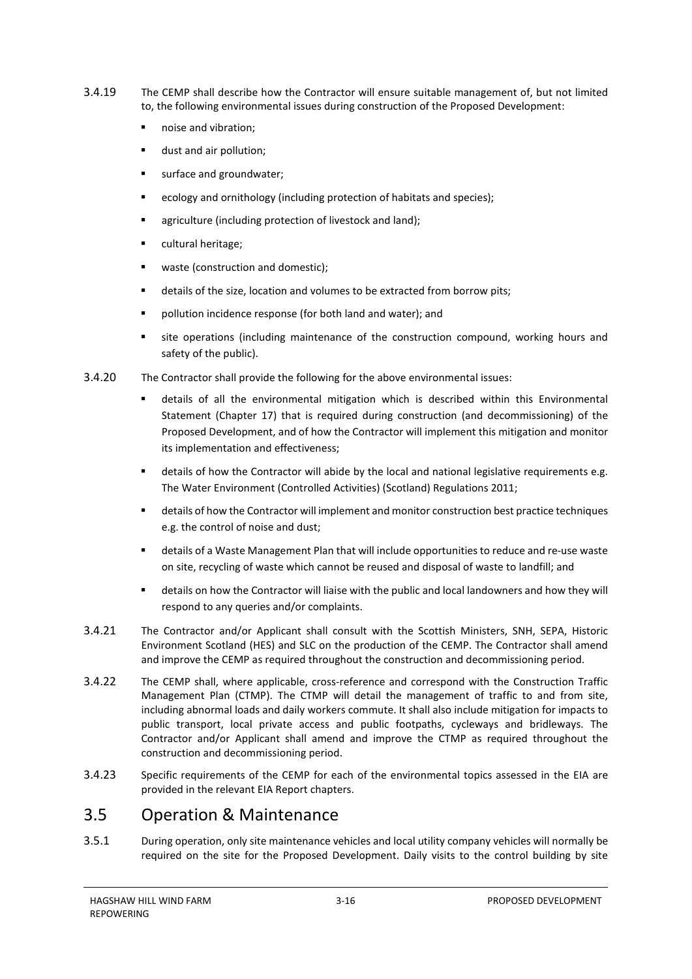- 3.4.19 The CEMP shall describe how the Contractor will ensure suitable management of, but not limited to, the following environmental issues during construction of the Proposed Development:
	- **noise and vibration;**
	- dust and air pollution;
	- surface and groundwater;
	- **EXECOLOGY And Struthology (including protection of habitats and species);**
	- **a** agriculture (including protection of livestock and land);
	- **ultural heritage;**
	- waste (construction and domestic);
	- details of the size, location and volumes to be extracted from borrow pits;
	- **P** pollution incidence response (for both land and water); and
	- site operations (including maintenance of the construction compound, working hours and safety of the public).
- 3.4.20 The Contractor shall provide the following for the above environmental issues:
	- details of all the environmental mitigation which is described within this Environmental Statement (Chapter 17) that is required during construction (and decommissioning) of the Proposed Development, and of how the Contractor will implement this mitigation and monitor its implementation and effectiveness;
	- **•** details of how the Contractor will abide by the local and national legislative requirements e.g. The Water Environment (Controlled Activities) (Scotland) Regulations 2011;
	- **EXECT** details of how the Contractor will implement and monitor construction best practice techniques e.g. the control of noise and dust;
	- details of a Waste Management Plan that will include opportunities to reduce and re-use waste on site, recycling of waste which cannot be reused and disposal of waste to landfill; and
	- details on how the Contractor will liaise with the public and local landowners and how they will respond to any queries and/or complaints.
- 3.4.21 The Contractor and/or Applicant shall consult with the Scottish Ministers, SNH, SEPA, Historic Environment Scotland (HES) and SLC on the production of the CEMP. The Contractor shall amend and improve the CEMP as required throughout the construction and decommissioning period.
- 3.4.22 The CEMP shall, where applicable, cross-reference and correspond with the Construction Traffic Management Plan (CTMP). The CTMP will detail the management of traffic to and from site, including abnormal loads and daily workers commute. It shall also include mitigation for impacts to public transport, local private access and public footpaths, cycleways and bridleways. The Contractor and/or Applicant shall amend and improve the CTMP as required throughout the construction and decommissioning period.
- 3.4.23 Specific requirements of the CEMP for each of the environmental topics assessed in the EIA are provided in the relevant EIA Report chapters.

### <span id="page-17-0"></span>3.5 Operation & Maintenance

3.5.1 During operation, only site maintenance vehicles and local utility company vehicles will normally be required on the site for the Proposed Development. Daily visits to the control building by site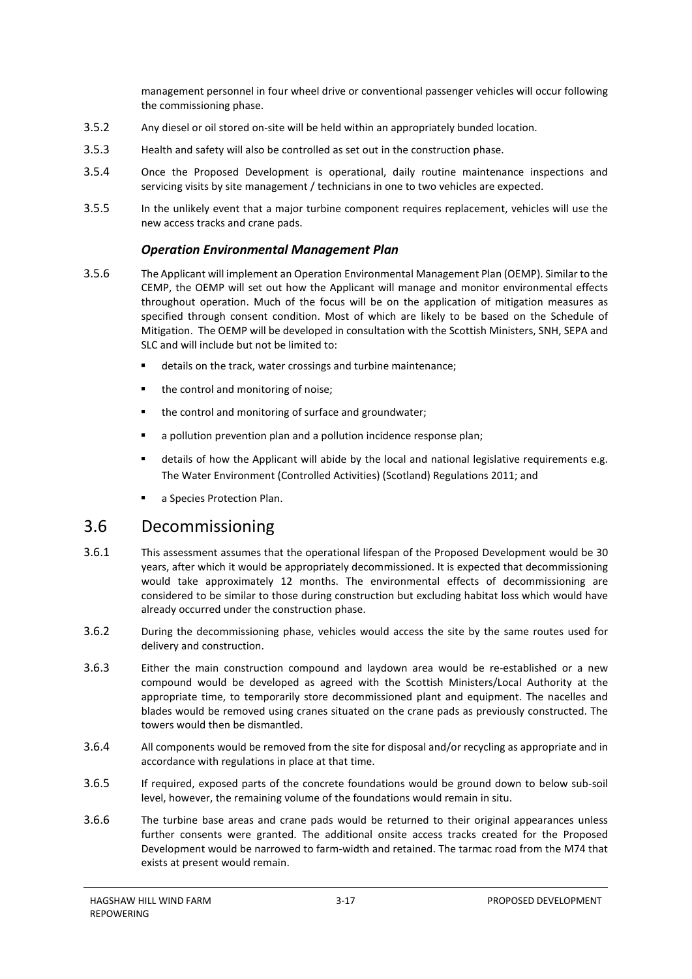management personnel in four wheel drive or conventional passenger vehicles will occur following the commissioning phase.

- 3.5.2 Any diesel or oil stored on-site will be held within an appropriately bunded location.
- 3.5.3 Health and safety will also be controlled as set out in the construction phase.
- 3.5.4 Once the Proposed Development is operational, daily routine maintenance inspections and servicing visits by site management / technicians in one to two vehicles are expected.
- 3.5.5 In the unlikely event that a major turbine component requires replacement, vehicles will use the new access tracks and crane pads.

#### *Operation Environmental Management Plan*

- 3.5.6 The Applicant will implement an Operation Environmental Management Plan (OEMP). Similar to the CEMP, the OEMP will set out how the Applicant will manage and monitor environmental effects throughout operation. Much of the focus will be on the application of mitigation measures as specified through consent condition. Most of which are likely to be based on the Schedule of Mitigation. The OEMP will be developed in consultation with the Scottish Ministers, SNH, SEPA and SLC and will include but not be limited to:
	- details on the track, water crossings and turbine maintenance;
	- the control and monitoring of noise;
	- the control and monitoring of surface and groundwater;
	- **a** a pollution prevention plan and a pollution incidence response plan;
	- **•** details of how the Applicant will abide by the local and national legislative requirements e.g. The Water Environment (Controlled Activities) (Scotland) Regulations 2011; and
	- a Species Protection Plan.

#### <span id="page-18-0"></span>3.6 Decommissioning

- 3.6.1 This assessment assumes that the operational lifespan of the Proposed Development would be 30 years, after which it would be appropriately decommissioned. It is expected that decommissioning would take approximately 12 months. The environmental effects of decommissioning are considered to be similar to those during construction but excluding habitat loss which would have already occurred under the construction phase.
- 3.6.2 During the decommissioning phase, vehicles would access the site by the same routes used for delivery and construction.
- 3.6.3 Either the main construction compound and laydown area would be re-established or a new compound would be developed as agreed with the Scottish Ministers/Local Authority at the appropriate time, to temporarily store decommissioned plant and equipment. The nacelles and blades would be removed using cranes situated on the crane pads as previously constructed. The towers would then be dismantled.
- 3.6.4 All components would be removed from the site for disposal and/or recycling as appropriate and in accordance with regulations in place at that time.
- 3.6.5 If required, exposed parts of the concrete foundations would be ground down to below sub-soil level, however, the remaining volume of the foundations would remain in situ.
- 3.6.6 The turbine base areas and crane pads would be returned to their original appearances unless further consents were granted. The additional onsite access tracks created for the Proposed Development would be narrowed to farm-width and retained. The tarmac road from the M74 that exists at present would remain.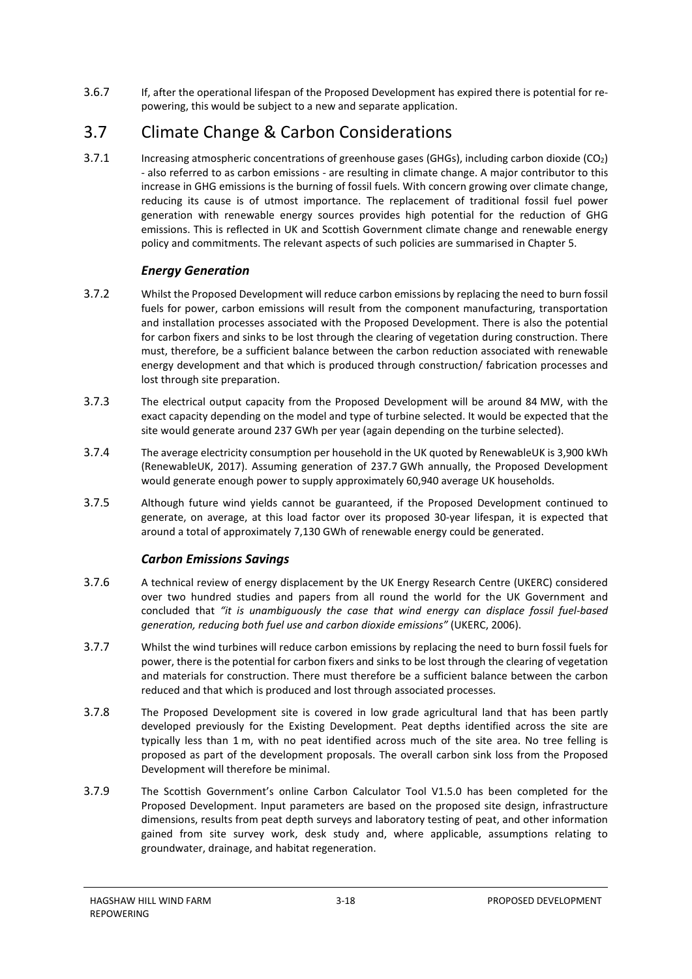3.6.7 If, after the operational lifespan of the Proposed Development has expired there is potential for repowering, this would be subject to a new and separate application.

# <span id="page-19-0"></span>3.7 Climate Change & Carbon Considerations

3.7.1 Increasing atmospheric concentrations of greenhouse gases (GHGs), including carbon dioxide (CO2) - also referred to as carbon emissions - are resulting in climate change. A major contributor to this increase in GHG emissions is the burning of fossil fuels. With concern growing over climate change, reducing its cause is of utmost importance. The replacement of traditional fossil fuel power generation with renewable energy sources provides high potential for the reduction of GHG emissions. This is reflected in UK and Scottish Government climate change and renewable energy policy and commitments. The relevant aspects of such policies are summarised in Chapter 5.

#### *Energy Generation*

- 3.7.2 Whilst the Proposed Development will reduce carbon emissions by replacing the need to burn fossil fuels for power, carbon emissions will result from the component manufacturing, transportation and installation processes associated with the Proposed Development. There is also the potential for carbon fixers and sinks to be lost through the clearing of vegetation during construction. There must, therefore, be a sufficient balance between the carbon reduction associated with renewable energy development and that which is produced through construction/ fabrication processes and lost through site preparation.
- 3.7.3 The electrical output capacity from the Proposed Development will be around 84 MW, with the exact capacity depending on the model and type of turbine selected. It would be expected that the site would generate around 237 GWh per year (again depending on the turbine selected).
- 3.7.4 The average electricity consumption per household in the UK quoted by RenewableUK is 3,900 kWh (RenewableUK, 2017). Assuming generation of 237.7 GWh annually, the Proposed Development would generate enough power to supply approximately 60,940 average UK households.
- 3.7.5 Although future wind yields cannot be guaranteed, if the Proposed Development continued to generate, on average, at this load factor over its proposed 30-year lifespan, it is expected that around a total of approximately 7,130 GWh of renewable energy could be generated.

#### *Carbon Emissions Savings*

- 3.7.6 A technical review of energy displacement by the UK Energy Research Centre (UKERC) considered over two hundred studies and papers from all round the world for the UK Government and concluded that *"it is unambiguously the case that wind energy can displace fossil fuel-based generation, reducing both fuel use and carbon dioxide emissions"* (UKERC, 2006).
- 3.7.7 Whilst the wind turbines will reduce carbon emissions by replacing the need to burn fossil fuels for power, there is the potential for carbon fixers and sinks to be lost through the clearing of vegetation and materials for construction. There must therefore be a sufficient balance between the carbon reduced and that which is produced and lost through associated processes.
- 3.7.8 The Proposed Development site is covered in low grade agricultural land that has been partly developed previously for the Existing Development. Peat depths identified across the site are typically less than 1 m, with no peat identified across much of the site area. No tree felling is proposed as part of the development proposals. The overall carbon sink loss from the Proposed Development will therefore be minimal.
- 3.7.9 The Scottish Government's online Carbon Calculator Tool V1.5.0 has been completed for the Proposed Development. Input parameters are based on the proposed site design, infrastructure dimensions, results from peat depth surveys and laboratory testing of peat, and other information gained from site survey work, desk study and, where applicable, assumptions relating to groundwater, drainage, and habitat regeneration.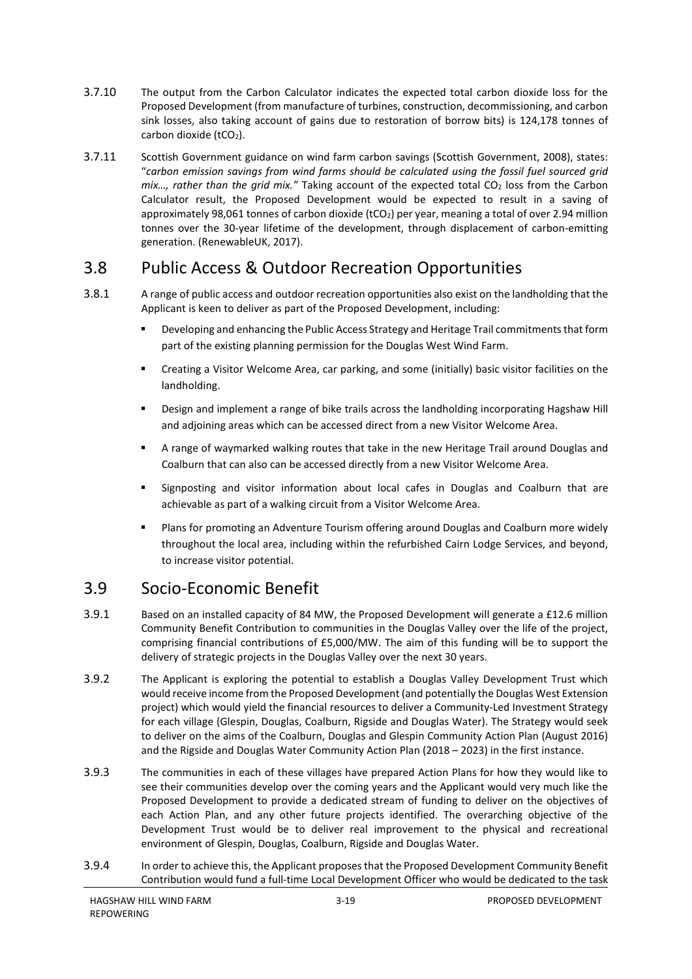- 3.7.10 The output from the Carbon Calculator indicates the expected total carbon dioxide loss for the Proposed Development (from manufacture of turbines, construction, decommissioning, and carbon sink losses, also taking account of gains due to restoration of borrow bits) is 124,178 tonnes of carbon dioxide (tCO<sub>2</sub>).
- 3.7.11 Scottish Government guidance on wind farm carbon savings (Scottish Government, 2008), states: "*carbon emission savings from wind farms should be calculated using the fossil fuel sourced grid mix..., rather than the grid mix."* Taking account of the expected total CO<sub>2</sub> loss from the Carbon Calculator result, the Proposed Development would be expected to result in a saving of approximately 98,061 tonnes of carbon dioxide (tCO<sub>2</sub>) per year, meaning a total of over 2.94 million tonnes over the 30-year lifetime of the development, through displacement of carbon-emitting generation. (RenewableUK, 2017).

# <span id="page-20-0"></span>3.8 Public Access & Outdoor Recreation Opportunities

- 3.8.1 A range of public access and outdoor recreation opportunities also exist on the landholding that the Applicant is keen to deliver as part of the Proposed Development, including:
	- Developing and enhancing the Public Access Strategy and Heritage Trail commitments that form part of the existing planning permission for the Douglas West Wind Farm.
	- Creating a Visitor Welcome Area, car parking, and some (initially) basic visitor facilities on the landholding.
	- Design and implement a range of bike trails across the landholding incorporating Hagshaw Hill and adjoining areas which can be accessed direct from a new Visitor Welcome Area.
	- A range of waymarked walking routes that take in the new Heritage Trail around Douglas and Coalburn that can also can be accessed directly from a new Visitor Welcome Area.
	- **Signposting and visitor information about local cafes in Douglas and Coalburn that are** achievable as part of a walking circuit from a Visitor Welcome Area.
	- **Plans for promoting an Adventure Tourism offering around Douglas and Coalburn more widely** throughout the local area, including within the refurbished Cairn Lodge Services, and beyond, to increase visitor potential.

### <span id="page-20-1"></span>3.9 Socio-Economic Benefit

- 3.9.1 Based on an installed capacity of 84 MW, the Proposed Development will generate a £12.6 million Community Benefit Contribution to communities in the Douglas Valley over the life of the project, comprising financial contributions of £5,000/MW. The aim of this funding will be to support the delivery of strategic projects in the Douglas Valley over the next 30 years.
- 3.9.2 The Applicant is exploring the potential to establish a Douglas Valley Development Trust which would receive income from the Proposed Development (and potentially the Douglas West Extension project) which would yield the financial resources to deliver a Community-Led Investment Strategy for each village (Glespin, Douglas, Coalburn, Rigside and Douglas Water). The Strategy would seek to deliver on the aims of the Coalburn, Douglas and Glespin Community Action Plan (August 2016) and the Rigside and Douglas Water Community Action Plan (2018 – 2023) in the first instance.
- 3.9.3 The communities in each of these villages have prepared Action Plans for how they would like to see their communities develop over the coming years and the Applicant would very much like the Proposed Development to provide a dedicated stream of funding to deliver on the objectives of each Action Plan, and any other future projects identified. The overarching objective of the Development Trust would be to deliver real improvement to the physical and recreational environment of Glespin, Douglas, Coalburn, Rigside and Douglas Water.
- 3.9.4 In order to achieve this, the Applicant proposes that the Proposed Development Community Benefit Contribution would fund a full-time Local Development Officer who would be dedicated to the task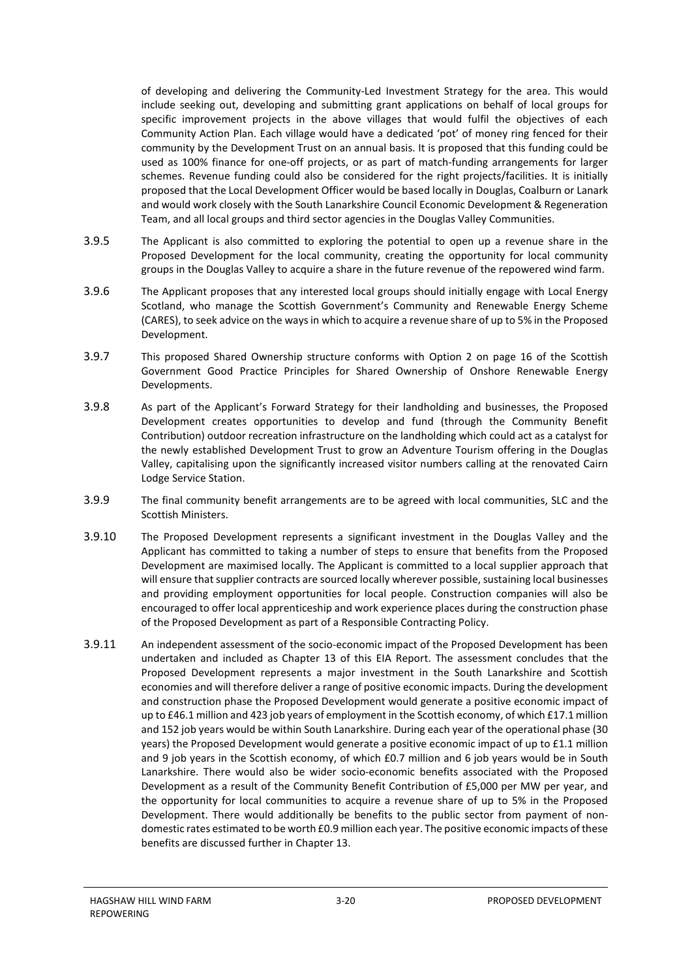of developing and delivering the Community-Led Investment Strategy for the area. This would include seeking out, developing and submitting grant applications on behalf of local groups for specific improvement projects in the above villages that would fulfil the objectives of each Community Action Plan. Each village would have a dedicated 'pot' of money ring fenced for their community by the Development Trust on an annual basis. It is proposed that this funding could be used as 100% finance for one-off projects, or as part of match-funding arrangements for larger schemes. Revenue funding could also be considered for the right projects/facilities. It is initially proposed that the Local Development Officer would be based locally in Douglas, Coalburn or Lanark and would work closely with the South Lanarkshire Council Economic Development & Regeneration Team, and all local groups and third sector agencies in the Douglas Valley Communities.

- 3.9.5 The Applicant is also committed to exploring the potential to open up a revenue share in the Proposed Development for the local community, creating the opportunity for local community groups in the Douglas Valley to acquire a share in the future revenue of the repowered wind farm.
- 3.9.6 The Applicant proposes that any interested local groups should initially engage with Local Energy Scotland, who manage the Scottish Government's Community and Renewable Energy Scheme (CARES), to seek advice on the ways in which to acquire a revenue share of up to 5% in the Proposed Development.
- 3.9.7 This proposed Shared Ownership structure conforms with Option 2 on page 16 of the Scottish Government Good Practice Principles for Shared Ownership of Onshore Renewable Energy Developments.
- 3.9.8 As part of the Applicant's Forward Strategy for their landholding and businesses, the Proposed Development creates opportunities to develop and fund (through the Community Benefit Contribution) outdoor recreation infrastructure on the landholding which could act as a catalyst for the newly established Development Trust to grow an Adventure Tourism offering in the Douglas Valley, capitalising upon the significantly increased visitor numbers calling at the renovated Cairn Lodge Service Station.
- 3.9.9 The final community benefit arrangements are to be agreed with local communities, SLC and the Scottish Ministers.
- 3.9.10 The Proposed Development represents a significant investment in the Douglas Valley and the Applicant has committed to taking a number of steps to ensure that benefits from the Proposed Development are maximised locally. The Applicant is committed to a local supplier approach that will ensure that supplier contracts are sourced locally wherever possible, sustaining local businesses and providing employment opportunities for local people. Construction companies will also be encouraged to offer local apprenticeship and work experience places during the construction phase of the Proposed Development as part of a Responsible Contracting Policy.
- 3.9.11 An independent assessment of the socio-economic impact of the Proposed Development has been undertaken and included as Chapter 13 of this EIA Report. The assessment concludes that the Proposed Development represents a major investment in the South Lanarkshire and Scottish economies and will therefore deliver a range of positive economic impacts. During the development and construction phase the Proposed Development would generate a positive economic impact of up to £46.1 million and 423 job years of employment in the Scottish economy, of which £17.1 million and 152 job years would be within South Lanarkshire. During each year of the operational phase (30 years) the Proposed Development would generate a positive economic impact of up to £1.1 million and 9 job years in the Scottish economy, of which £0.7 million and 6 job years would be in South Lanarkshire. There would also be wider socio-economic benefits associated with the Proposed Development as a result of the Community Benefit Contribution of £5,000 per MW per year, and the opportunity for local communities to acquire a revenue share of up to 5% in the Proposed Development. There would additionally be benefits to the public sector from payment of nondomestic rates estimated to be worth £0.9 million each year. The positive economic impacts of these benefits are discussed further in Chapter 13.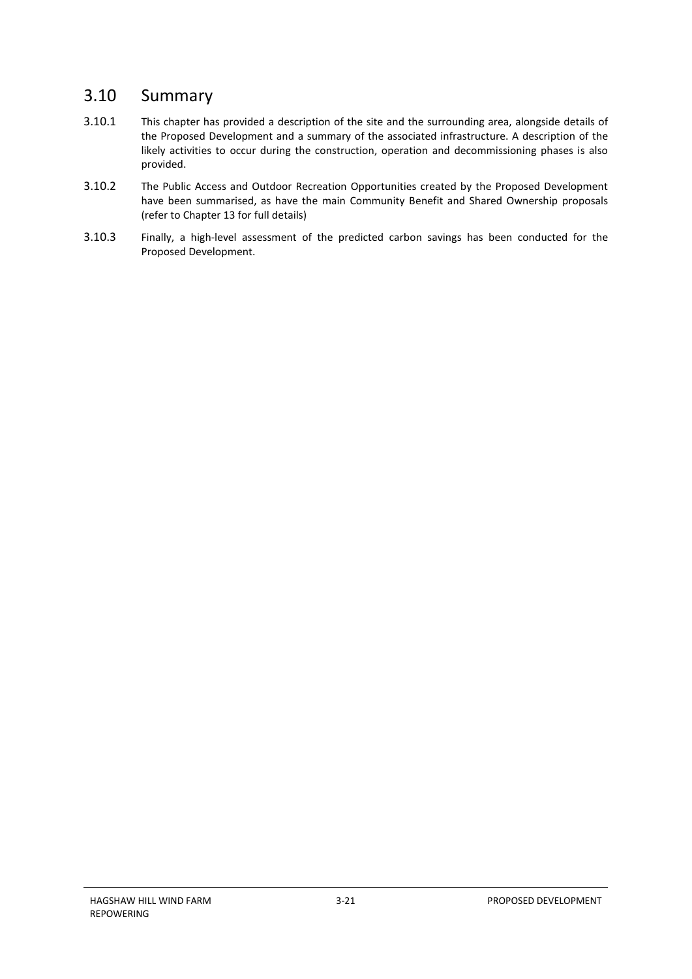## <span id="page-22-0"></span>3.10 Summary

- 3.10.1 This chapter has provided a description of the site and the surrounding area, alongside details of the Proposed Development and a summary of the associated infrastructure. A description of the likely activities to occur during the construction, operation and decommissioning phases is also provided.
- 3.10.2 The Public Access and Outdoor Recreation Opportunities created by the Proposed Development have been summarised, as have the main Community Benefit and Shared Ownership proposals (refer to Chapter 13 for full details)
- 3.10.3 Finally, a high-level assessment of the predicted carbon savings has been conducted for the Proposed Development.